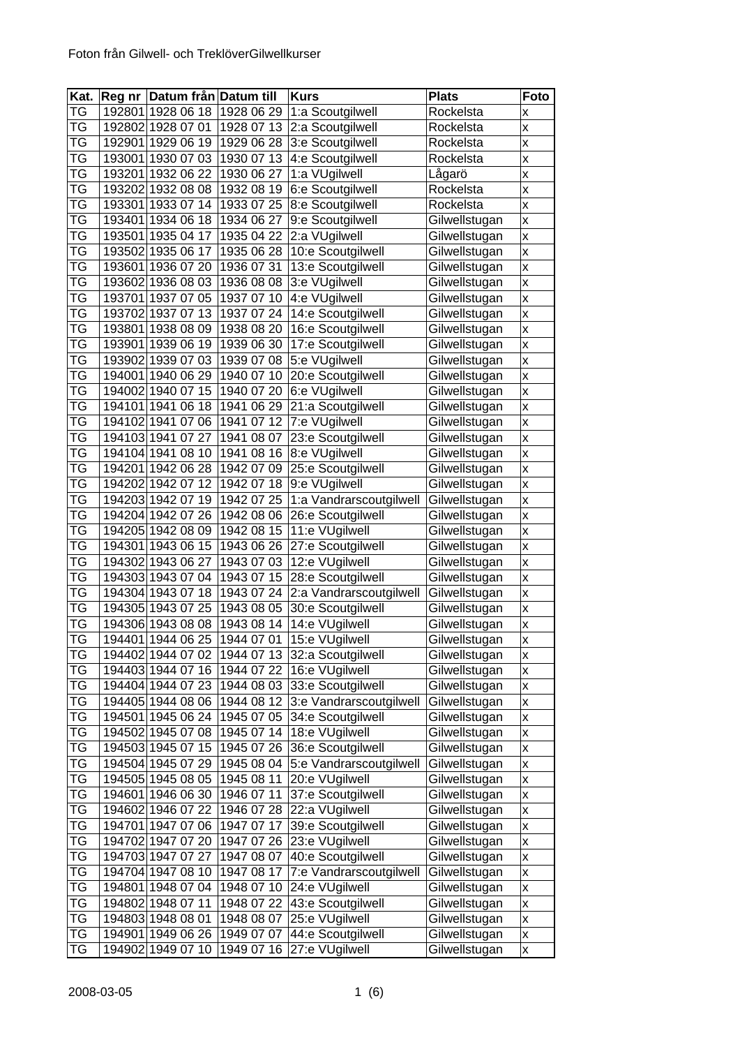| Kat.      | Reg nr Datum från Datum till |                          | <b>Kurs</b>                         | <b>Plats</b>  | Foto |
|-----------|------------------------------|--------------------------|-------------------------------------|---------------|------|
| TG        | 192801 1928 06 18            | 1928 06 29               | 1:a Scoutgilwell                    | Rockelsta     | x    |
| ТG        | 192802 1928 07 01            | 1928 07 13               | 2:a Scoutgilwell                    | Rockelsta     | X    |
| TG        | 192901 1929 06 19            | 1929 06 28               | 3:e Scoutgilwell                    | Rockelsta     | X    |
| ТG        | 193001 1930 07 03            | 1930 07 13               | 4:e Scoutgilwell                    | Rockelsta     | X    |
| ТG        | 193201 1932 06 22            | 1930 06 27               | 1:a VUgilwell                       | Lågarö        | X    |
| ТG        | 193202 1932 08 08            | 1932 08 19               | 6:e Scoutgilwell                    | Rockelsta     | X    |
| ТG        | 193301 1933 07 14            | 1933 07 25               | 8:e Scoutgilwell                    | Rockelsta     | X    |
| TG        | 193401 1934 06 18            | 1934 06 27               | 9:e Scoutgilwell                    | Gilwellstugan | X    |
| TG        | 193501 1935 04 17            | 1935 04 22               | 2:a VUgilwell                       | Gilwellstugan | X    |
| ТG        | 193502 1935 06 17            | 1935 06 28               | 10:e Scoutgilwell                   | Gilwellstugan | X    |
| ТG        | 193601 1936 07 20            | 1936 07 31               | 13:e Scoutgilwell                   | Gilwellstugan | X    |
| ТG        | 193602 1936 08 03            | 1936 08 08               | 3:e VUgilwell                       | Gilwellstugan | X    |
| ТG        | 193701 1937 07 05            | 1937 07 10               | 4:e VUgilwell                       | Gilwellstugan | X    |
| TG        | 193702 1937 07 13            | 1937 07 24               | 14:e Scoutgilwell                   | Gilwellstugan | X    |
| TG        | 193801 1938 08 09            | 1938 08 20               | 16:e Scoutgilwell                   | Gilwellstugan | X    |
| TG        | 193901 1939 06 19            | 1939 06 30               | 17:e Scoutgilwell                   | Gilwellstugan | X    |
| ТG        | 193902 1939 07 03            | 1939 07 08               | 5:e VUgilwell                       | Gilwellstugan | X    |
| ТG        | 194001 1940 06 29            | 1940 07 10               | 20:e Scoutgilwell                   | Gilwellstugan | X    |
| TG        | 194002 1940 07 15            | 1940 07 20               | 6:e VUgilwell                       | Gilwellstugan | X    |
| TG        | 194101 1941 06 18            | 1941 06 29               | 21:a Scoutgilwell                   | Gilwellstugan | X    |
| TG        | 194102 1941 07 06            | 1941 07 12               | 7:e VUgilwell                       | Gilwellstugan | X    |
| TG        | 194103 1941 07 27            | 1941 08 07               | 23:e Scoutgilwell                   | Gilwellstugan | X    |
| ТG        | 194104 1941 08 10            | 1941 08 16               | 8:e VUgilwell                       | Gilwellstugan | X    |
| ТG        | 194201 1942 06 28            | 1942 07 09               | 25:e Scoutgilwell                   | Gilwellstugan | X    |
| TG        | 194202 1942 07 12            | 1942 07 18               | 9:e VUgilwell                       | Gilwellstugan | X    |
| ТG        | 194203 1942 07 19            | 1942 07 25               | 1:a Vandrarscoutgilwell             | Gilwellstugan | X    |
| ТG        | 194204 1942 07 26            | 1942 08 06               | 26:e Scoutgilwell                   | Gilwellstugan | X    |
| TG        | 194205 1942 08 09            | 1942 08 15               | 11:e VUgilwell                      | Gilwellstugan | X    |
| ТG        | 194301 1943 06 15            | 1943 06 26               | 27:e Scoutgilwell                   | Gilwellstugan | X    |
| ТG        | 194302 1943 06 27            | 1943 07 03               | 12:e VUgilwell                      | Gilwellstugan | X    |
| TG        | 194303 1943 07 04            | 1943 07 15               | 28:e Scoutgilwell                   | Gilwellstugan | X    |
| ТG        | 194304 1943 07 18            | 1943 07 24               | 2:a Vandrarscoutgilwell             | Gilwellstugan | X    |
| TG        | 194305 1943 07 25            | 1943 08 05               | 30:e Scoutgilwell                   | Gilwellstugan | X    |
| ТG        | 194306 1943 08 08            | 1943 08 14               | 14:e VUgilwell                      | Gilwellstugan | X    |
| <b>TG</b> | 194401 1944 06 25            | 1944 07 01               | 15:e VUgilwell                      | Gilwellstugan | X    |
| ТG        | 194402 1944 07 02            | 1944 07 13               | 32:a Scoutgilwell                   | Gilwellstugan | X    |
| TG        | 194403 1944 07 16            | 1944 07 22               | 16:e VUgilwell                      | Gilwellstugan | X    |
| ТG        | 194404 1944 07 23            | 1944 08 03               | 33:e Scoutgilwell                   | Gilwellstugan | X    |
| TG        | 194405 1944 08 06            | 1944 08 12               | 3:e Vandrarscoutgilwell             | Gilwellstugan | X    |
| TG        | 194501 1945 06 24            | 1945 07 05               | 34:e Scoutgilwell                   | Gilwellstugan | X    |
| TG        | 194502 1945 07 08            | 1945 07 14               | 18:e VUgilwell                      | Gilwellstugan | X    |
| ТG        | 194503 1945 07 15            | 1945 07 26               | 36:e Scoutgilwell                   | Gilwellstugan | X    |
| ТG        | 194504 1945 07 29            | 1945 08 04               | 5:e Vandrarscoutgilwell             | Gilwellstugan | X    |
| TG        | 194505 1945 08 05            | 1945 08 11               | 20:e VUgilwell                      | Gilwellstugan | X    |
| TG        | 194601 1946 06 30            | 1946 07 11               | 37:e Scoutgilwell                   | Gilwellstugan | X    |
| TG        | 194602 1946 07 22            | 1946 07 28               | 22:a VUgilwell                      | Gilwellstugan | X    |
| TG        | 194701 1947 07 06            |                          |                                     | Gilwellstugan |      |
| ТG        | 194702 1947 07 20            | 1947 07 17<br>1947 07 26 | 39:e Scoutgilwell<br>23:e VUgilwell |               | X    |
| ТG        |                              |                          |                                     | Gilwellstugan | X    |
|           | 194703 1947 07 27            | 1947 08 07               | 40:e Scoutgilwell                   | Gilwellstugan | X    |
| TG        | 194704 1947 08 10            | 1947 08 17               | 7:e Vandrarscoutgilwell             | Gilwellstugan | X    |
| TG        | 194801 1948 07 04            | 1948 07 10               | 24:e VUgilwell                      | Gilwellstugan | X    |
| ТG        | 194802 1948 07 11            | 1948 07 22               | 43:e Scoutgilwell                   | Gilwellstugan | X    |
| TG        | 194803 1948 08 01            | 1948 08 07               | 25:e VUgilwell                      | Gilwellstugan | X    |
| TG        | 194901 1949 06 26            | 1949 07 07               | 44:e Scoutgilwell                   | Gilwellstugan | X    |
| TG        | 194902 1949 07 10            | 1949 07 16               | 27:e VUgilwell                      | Gilwellstugan | X    |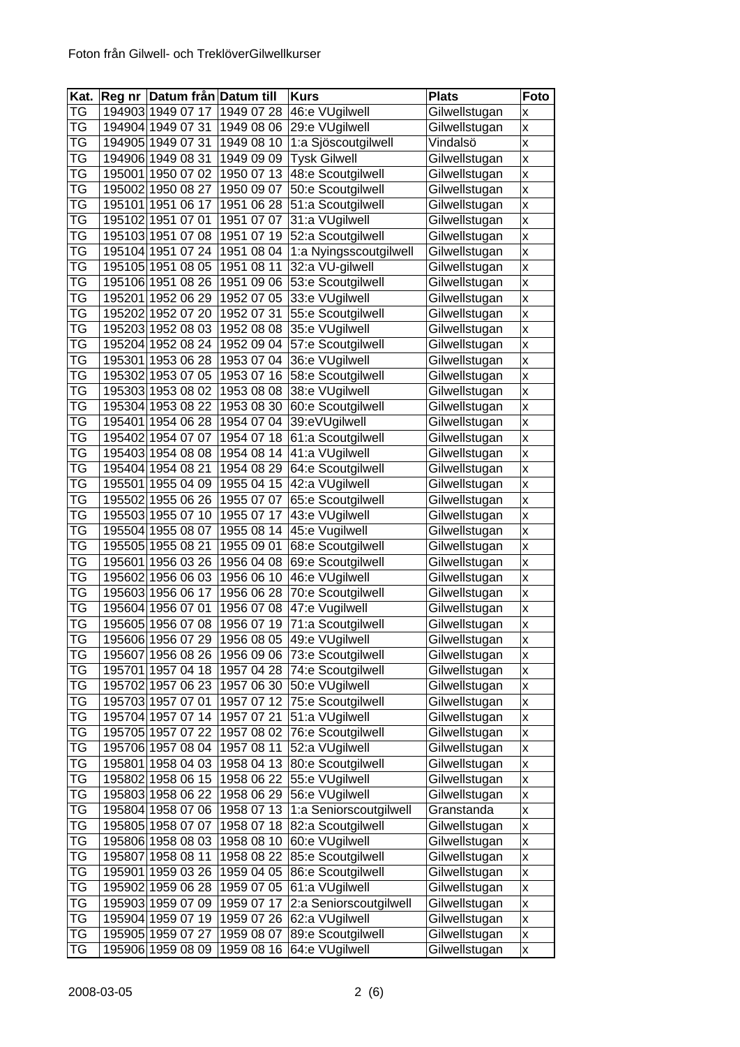| $\overline{Kat}$ . | Reg nr Datum från Datum till |            | <b>Kurs</b>            | <b>Plats</b>  | Foto                    |
|--------------------|------------------------------|------------|------------------------|---------------|-------------------------|
| TG                 | 194903 1949 07 17            | 1949 07 28 | 46:e VUgilwell         | Gilwellstugan | x                       |
| TG                 | 194904 1949 07 31            | 1949 08 06 | 29:e VUgilwell         | Gilwellstugan | X                       |
| TG                 | 194905 1949 07 31            | 1949 08 10 | 1:a Sjöscoutgilwell    | Vindalsö      | X                       |
| ТG                 | 194906 1949 08 31            | 1949 09 09 | <b>Tysk Gilwell</b>    | Gilwellstugan | $\mathsf{x}$            |
| ТG                 | 195001 1950 07 02            | 1950 07 13 | 48:e Scoutgilwell      | Gilwellstugan | X                       |
| TG                 | 195002 1950 08 27            | 1950 09 07 | 50:e Scoutgilwell      | Gilwellstugan | $\pmb{\mathsf{x}}$      |
| ТG                 | 195101 1951 06 17            | 1951 06 28 | 51:a Scoutgilwell      | Gilwellstugan | X                       |
| TG                 | 195102 1951 07 01            | 1951 07 07 | 31:a VUgilwell         | Gilwellstugan | X                       |
| ТG                 | 195103 1951 07 08            | 1951 07 19 | 52:a Scoutgilwell      | Gilwellstugan | X                       |
| ТG                 | 195104 1951 07 24            | 1951 08 04 | 1:a Nyingsscoutgilwell | Gilwellstugan | $\pmb{\mathsf{x}}$      |
| ТG                 | 195105 1951 08 05            | 1951 08 11 | 32:a VU-gilwell        | Gilwellstugan | X                       |
| ТG                 | 195106 1951 08 26            | 1951 09 06 | 53:e Scoutgilwell      | Gilwellstugan | X                       |
| ТG                 | 195201 1952 06 29            | 1952 07 05 | 33:e VUgilwell         | Gilwellstugan | X                       |
| TG                 | 195202 1952 07 20            | 1952 07 31 | 55:e Scoutgilwell      | Gilwellstugan | X                       |
| TG                 | 195203 1952 08 03            | 1952 08 08 | 35:e VUgilwell         | Gilwellstugan | X                       |
| ТG                 | 195204 1952 08 24            | 1952 09 04 | 57:e Scoutgilwell      | Gilwellstugan | $\overline{\mathsf{x}}$ |
| ТG                 | 195301 1953 06 28            | 1953 07 04 | 36:e VUgilwell         | Gilwellstugan | $\mathsf{x}$            |
| ТG                 | 195302 1953 07 05            | 1953 07 16 | 58:e Scoutgilwell      | Gilwellstugan | X                       |
| TG                 | 195303 1953 08 02            | 1953 08 08 | 38:e VUgilwell         | Gilwellstugan | X                       |
| TG                 | 195304 1953 08 22            | 1953 08 30 | 60:e Scoutgilwell      | Gilwellstugan | X                       |
| TG                 | 195401 1954 06 28            | 1954 07 04 | 39:eVUgilwell          | Gilwellstugan | X                       |
| ТG                 | 195402 1954 07 07            | 1954 07 18 | 61:a Scoutgilwell      | Gilwellstugan | X                       |
| ТG                 | 195403 1954 08 08            | 1954 08 14 | 41:a VUgilwell         | Gilwellstugan | $\pmb{\mathsf{x}}$      |
| ТG                 | 195404 1954 08 21            | 1954 08 29 | 64:e Scoutgilwell      | Gilwellstugan | $\mathsf{x}$            |
| TG                 | 195501 1955 04 09            | 1955 04 15 | 42:a VUgilwell         | Gilwellstugan | $\pmb{\mathsf{x}}$      |
| ТG                 | 195502 1955 06 26            | 1955 07 07 | 65:e Scoutgilwell      | Gilwellstugan | X                       |
| TG                 | 195503 1955 07 10            | 1955 07 17 | 43:e VUgilwell         | Gilwellstugan | X                       |
| TG                 | 195504 1955 08 07            | 1955 08 14 | 45:e Vugilwell         | Gilwellstugan | $\mathsf{x}$            |
| ТG                 | 195505 1955 08 21            | 1955 09 01 | 68:e Scoutgilwell      | Gilwellstugan | $\mathsf{x}$            |
| ТG                 | 195601 1956 03 26            | 1956 04 08 | 69:e Scoutgilwell      | Gilwellstugan | $\pmb{\mathsf{X}}$      |
| TG                 | 195602 1956 06 03            | 1956 06 10 | 46:e VUgilwell         | Gilwellstugan | X                       |
| ТG                 | 195603 1956 06 17            | 1956 06 28 | 70:e Scoutgilwell      | Gilwellstugan | X                       |
| TG                 | 195604 1956 07 01            | 1956 07 08 | 47:e Vugilwell         | Gilwellstugan | X                       |
| ТG                 | 195605 1956 07 08            | 1956 07 19 | 71:a Scoutgilwell      | Gilwellstugan | X                       |
| <b>TG</b>          | 195606 1956 07 29            | 1956 08 05 | 49:e VUgilwell         | Gilwellstugan | $\mathsf{x}$            |
| ТG                 | 195607 1956 08 26            | 1956 09 06 | 73:e Scoutgilwell      | Gilwellstugan | X                       |
| ТG                 | 195701 1957 04 18            | 1957 04 28 | 74:e Scoutgilwell      | Gilwellstugan | X                       |
| ТG                 | 195702 1957 06 23            | 1957 06 30 | 50:e VUgilwell         | Gilwellstugan | X                       |
| ТG                 | 195703 1957 07 01            | 1957 07 12 | 75:e Scoutgilwell      | Gilwellstugan | Χ                       |
| TG                 | 195704 1957 07 14            | 1957 07 21 | 51:a VUgilwell         | Gilwellstugan | X                       |
| TG                 | 195705 1957 07 22            | 1957 08 02 | 76:e Scoutgilwell      | Gilwellstugan | X                       |
| ТG                 | 195706 1957 08 04            | 1957 08 11 | 52:a VUgilwell         | Gilwellstugan | $\pmb{\mathsf{X}}$      |
| ТG                 | 195801 1958 04 03            | 1958 04 13 | 80:e Scoutgilwell      | Gilwellstugan | $\pmb{\mathsf{X}}$      |
| ТG                 | 195802 1958 06 15            | 1958 06 22 | 55:e VUgilwell         | Gilwellstugan | X                       |
| TG                 | 195803 1958 06 22            | 1958 06 29 | 56:e VUgilwell         | Gilwellstugan | Χ                       |
| TG                 | 195804 1958 07 06            | 1958 07 13 | 1:a Seniorscoutgilwell | Granstanda    | X                       |
| TG                 | 195805 1958 07 07            | 1958 07 18 | 82:a Scoutgilwell      | Gilwellstugan | X                       |
| ТG                 | 195806 1958 08 03            | 1958 08 10 | 60:e VUgilwell         | Gilwellstugan | $\pmb{\mathsf{x}}$      |
| ТG                 | 195807 1958 08 11            | 1958 08 22 | 85:e Scoutgilwell      | Gilwellstugan | $\pmb{\mathsf{x}}$      |
| TG                 | 195901 1959 03 26            | 1959 04 05 | 86:e Scoutgilwell      | Gilwellstugan | $\pmb{\mathsf{x}}$      |
| TG                 | 195902 1959 06 28            | 1959 07 05 | 61:a VUgilwell         | Gilwellstugan | X                       |
| ТG                 | 195903 1959 07 09            | 1959 07 17 | 2:a Seniorscoutgilwell | Gilwellstugan | X                       |
| TG                 | 195904 1959 07 19            | 1959 07 26 | 62:a VUgilwell         | Gilwellstugan | $\mathsf{x}$            |
| TG                 | 195905 1959 07 27            | 1959 08 07 | 89:e Scoutgilwell      | Gilwellstugan | $\pmb{\mathsf{x}}$      |
| TG                 | 195906 1959 08 09            | 1959 08 16 | 64:e VUgilwell         | Gilwellstugan | $\pmb{\mathsf{x}}$      |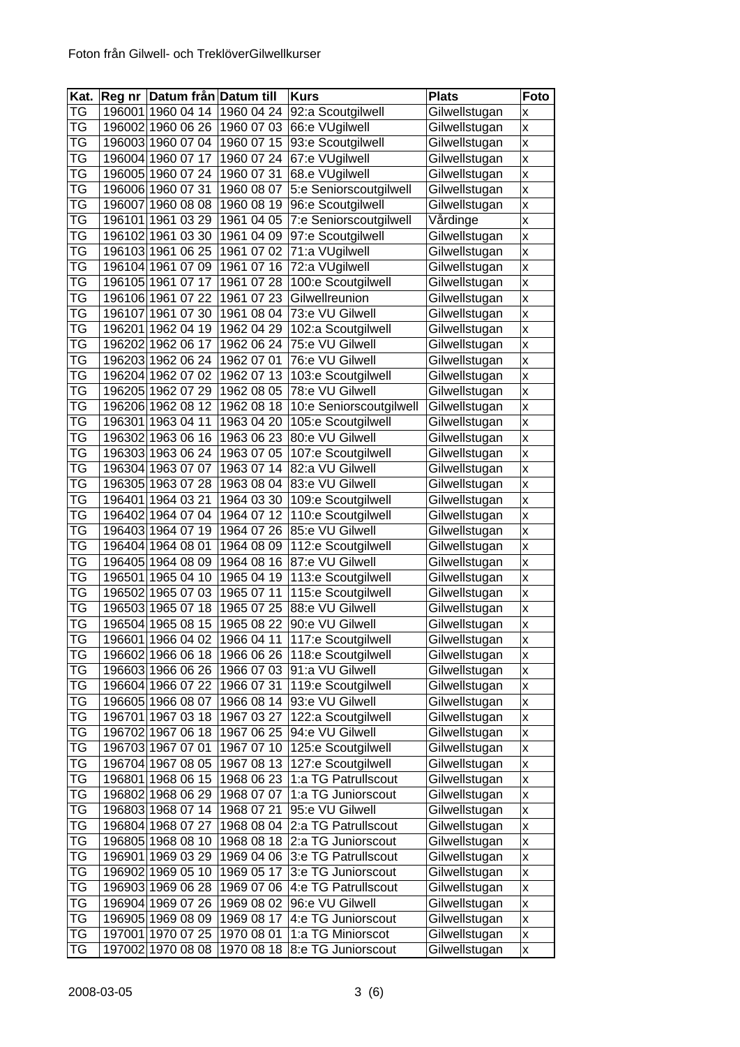| Kat.      |        | Reg nr Datum från Datum till |            | <b>Kurs</b>             | <b>Plats</b>  | Foto               |
|-----------|--------|------------------------------|------------|-------------------------|---------------|--------------------|
| TG        |        | 196001 1960 04 14            | 1960 04 24 | 92:a Scoutgilwell       | Gilwellstugan | x                  |
| TG        |        | 196002 1960 06 26            | 1960 07 03 | 66:e VUgilwell          | Gilwellstugan | X                  |
| TG        |        | 196003 1960 07 04            | 1960 07 15 | 93:e Scoutgilwell       | Gilwellstugan | $\pmb{\mathsf{x}}$ |
| TG        |        | 196004 1960 07 17            | 1960 07 24 | 67:e VUgilwell          | Gilwellstugan | $\pmb{\mathsf{x}}$ |
| ТG        |        | 196005 1960 07 24            | 1960 07 31 | 68.e VUgilwell          | Gilwellstugan | $\pmb{\mathsf{x}}$ |
| ТG        |        | 196006 1960 07 31            | 1960 08 07 | 5:e Seniorscoutgilwell  | Gilwellstugan | $\mathsf{x}$       |
| TG        |        | 196007 1960 08 08            | 1960 08 19 | 96:e Scoutgilwell       | Gilwellstugan | X                  |
| TG        |        | 196101 1961 03 29            | 1961 04 05 | 7:e Seniorscoutgilwell  | Vårdinge      | $\mathsf{x}$       |
| ТG        | 196102 | 1961 03 30                   | 1961 04 09 | 97:e Scoutgilwell       | Gilwellstugan | $\pmb{\mathsf{X}}$ |
| ТG        |        | 196103 1961 06 25            | 1961 07 02 | 71:a VUgilwell          | Gilwellstugan | X                  |
| ТG        |        | 196104 1961 07 09            | 1961 07 16 | 72:a VUgilwell          | Gilwellstugan | X                  |
| ТG        |        | 196105 1961 07 17            | 1961 07 28 | 100:e Scoutgilwell      | Gilwellstugan | X                  |
| ТG        |        | 196106 1961 07 22            | 1961 07 23 | Gilwellreunion          | Gilwellstugan | X                  |
| TG        |        | 196107 1961 07 30            | 1961 08 04 | 73:e VU Gilwell         | Gilwellstugan | $\pmb{\mathsf{x}}$ |
| TG        |        | 196201 1962 04 19            | 1962 04 29 | 102:a Scoutgilwell      | Gilwellstugan | X                  |
| ТG        |        | 196202 1962 06 17            | 1962 06 24 | 75:e VU Gilwell         | Gilwellstugan | $\pmb{\mathsf{x}}$ |
| TG        |        | 196203 1962 06 24            | 1962 07 01 | 76:e VU Gilwell         | Gilwellstugan | $\pmb{\mathsf{x}}$ |
| ТG        |        | 196204 1962 07 02            | 1962 07 13 | 103:e Scoutgilwell      | Gilwellstugan | $\pmb{\mathsf{x}}$ |
| TG        |        | 196205 1962 07 29            | 1962 08 05 | 78:e VU Gilwell         | Gilwellstugan | $\pmb{\mathsf{x}}$ |
| TG        |        | 196206 1962 08 12            | 1962 08 18 | 10:e Seniorscoutgilwell | Gilwellstugan | $\mathsf{x}$       |
| ТG        |        | 196301 1963 04 11            | 1963 04 20 | 105:e Scoutgilwell      | Gilwellstugan | $\pmb{\mathsf{X}}$ |
| ТG        |        | 196302 1963 06 16            | 1963 06 23 | 80:e VU Gilwell         | Gilwellstugan | $\pmb{\mathsf{X}}$ |
| ТG        |        | 196303 1963 06 24            | 1963 07 05 | 107:e Scoutgilwell      | Gilwellstugan | X                  |
| ТG        |        | 196304 1963 07 07            | 1963 07 14 | 82:a VU Gilwell         | Gilwellstugan | X                  |
| TG        |        | 196305 1963 07 28            | 1963 08 04 | 83:e VU Gilwell         | Gilwellstugan | X                  |
| TG        |        | 196401 1964 03 21            | 1964 03 30 | 109:e Scoutgilwell      | Gilwellstugan | X                  |
| TG        |        | 196402 1964 07 04            | 1964 07 12 | 110:e Scoutgilwell      | Gilwellstugan | X                  |
| TG        |        | 196403 1964 07 19            | 1964 07 26 | 85:e VU Gilwell         | Gilwellstugan | $\pmb{\mathsf{x}}$ |
| TG        |        | 196404 1964 08 01            | 1964 08 09 | 112:e Scoutgilwell      | Gilwellstugan | $\pmb{\mathsf{x}}$ |
| ТG        |        | 196405 1964 08 09            | 1964 08 16 | 87:e VU Gilwell         | Gilwellstugan | X                  |
| TG        | 196501 | 1965 04 10                   | 1965 04 19 | 113:e Scoutgilwell      | Gilwellstugan | $\pmb{\mathsf{x}}$ |
| TG        | 196502 | 1965 07 03                   | 1965 07 11 | 115:e Scoutgilwell      | Gilwellstugan | $\pmb{\mathsf{x}}$ |
| TG        |        | 196503 1965 07 18            | 1965 07 25 | 88:e VU Gilwell         | Gilwellstugan | X                  |
| ТG        |        | 196504 1965 08 15            | 1965 08 22 | 90:e VU Gilwell         | Gilwellstugan | $\pmb{\mathsf{X}}$ |
| <b>TG</b> |        | 196601 1966 04 02            | 1966 04 11 | 117:e Scoutgilwell      | Gilwellstugan | $\pmb{\mathsf{X}}$ |
| ТG        |        | 196602 1966 06 18            | 1966 06 26 | 118:e Scoutgilwell      | Gilwellstugan | x                  |
| ТG        |        | 196603 1966 06 26            | 1966 07 03 | 91:a VU Gilwell         | Gilwellstugan | X                  |
| TG        |        | 196604 1966 07 22            | 1966 07 31 | 119:e Scoutgilwell      | Gilwellstugan | X                  |
| TG        |        | 196605 1966 08 07            | 1966 08 14 | 93:e VU Gilwell         | Gilwellstugan | $\pmb{\mathsf{X}}$ |
| TG        |        | 196701 1967 03 18            | 1967 03 27 | 122:a Scoutgilwell      | Gilwellstugan | $\pmb{\mathsf{X}}$ |
| TG        |        | 196702 1967 06 18            | 1967 06 25 | 94:e VU Gilwell         | Gilwellstugan | X                  |
| TG        |        | 196703 1967 07 01            | 1967 07 10 | 125:e Scoutgilwell      | Gilwellstugan | X                  |
| TG        |        | 196704 1967 08 05            | 1967 08 13 | 127:e Scoutgilwell      | Gilwellstugan | X                  |
| <b>TG</b> |        | 196801 1968 06 15            | 1968 06 23 | 1:a TG Patrullscout     | Gilwellstugan | $\pmb{\mathsf{X}}$ |
| TG        |        | 196802 1968 06 29            | 1968 07 07 | 1:a TG Juniorscout      | Gilwellstugan | X                  |
| ТG        |        | 196803 1968 07 14            | 1968 07 21 | 95:e VU Gilwell         | Gilwellstugan | X                  |
| ТG        |        | 196804 1968 07 27            | 1968 08 04 | 2:a TG Patrullscout     | Gilwellstugan | $\pmb{\mathsf{X}}$ |
| ТG        |        | 196805 1968 08 10            | 1968 08 18 | 2:a TG Juniorscout      |               |                    |
| TG        |        |                              |            |                         | Gilwellstugan | X                  |
|           |        | 196901 1969 03 29            | 1969 04 06 | 3:e TG Patrullscout     | Gilwellstugan | $\pmb{\mathsf{X}}$ |
| TG        |        | 196902 1969 05 10            | 1969 05 17 | 3:e TG Juniorscout      | Gilwellstugan | $\pmb{\mathsf{X}}$ |
| TG        |        | 196903 1969 06 28            | 1969 07 06 | 4:e TG Patrullscout     | Gilwellstugan | $\pmb{\mathsf{x}}$ |
| ТG        |        | 196904 1969 07 26            | 1969 08 02 | 96:e VU Gilwell         | Gilwellstugan | X                  |
| TG        |        | 196905 1969 08 09            | 1969 08 17 | 4:e TG Juniorscout      | Gilwellstugan | $\pmb{\mathsf{x}}$ |
| TG        |        | 197001 1970 07 25            | 1970 08 01 | 1:a TG Miniorscot       | Gilwellstugan | $\pmb{\mathsf{X}}$ |
| TG        |        | 197002 1970 08 08            | 1970 08 18 | 8:e TG Juniorscout      | Gilwellstugan | $\pmb{\mathsf{x}}$ |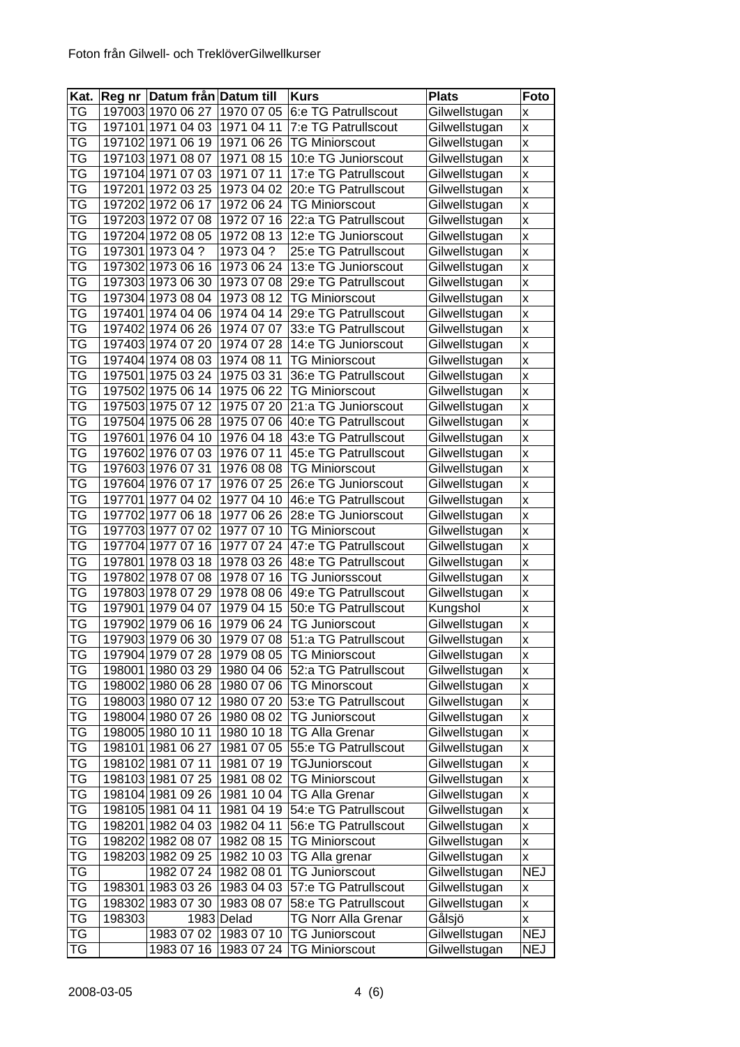| <b>TG</b><br>197003 1970 06 27<br>1970 07 05<br>6:e TG Patrullscout<br>Gilwellstugan<br>X<br>TG<br>197101 1971 04 03<br>1971 04 11<br>7:e TG Patrullscout<br>Gilwellstugan<br>X<br><b>TG</b><br>1971 06 26<br>Gilwellstugan<br>197102 1971 06 19<br><b>TG Miniorscout</b><br>X<br>TG<br>197103 1971 08 07<br>1971 08 15<br>10:e TG Juniorscout<br>Gilwellstugan<br>X<br>TG<br>197104 1971 07 03<br>1971 07 11<br>17:e TG Patrullscout<br>Gilwellstugan<br>X<br><b>TG</b><br>197201 1972 03 25<br>1973 04 02<br>20:e TG Patrullscout<br>Gilwellstugan<br>X<br>TG<br>197202 1972 06 17<br><b>TG Miniorscout</b><br>1972 06 24<br>Gilwellstugan<br>X<br>TG<br>197203 1972 07 08<br>1972 07 16<br>22:a TG Patrullscout<br>Gilwellstugan<br>X<br>TG<br>197204 1972 08 05<br>1972 08 13<br>12:e TG Juniorscout<br>Gilwellstugan<br>X<br>ТG<br>197301 1973 04 ?<br>1973 04 ?<br>25:e TG Patrullscout<br>Gilwellstugan<br>X<br>ТG<br>197302 1973 06 16<br>1973 06 24<br>13:e TG Juniorscout<br>Gilwellstugan<br>X<br>TG<br>197303 1973 06 30<br>1973 07 08<br>29:e TG Patrullscout<br>Gilwellstugan<br>$\mathsf{x}$ |  |
|-------------------------------------------------------------------------------------------------------------------------------------------------------------------------------------------------------------------------------------------------------------------------------------------------------------------------------------------------------------------------------------------------------------------------------------------------------------------------------------------------------------------------------------------------------------------------------------------------------------------------------------------------------------------------------------------------------------------------------------------------------------------------------------------------------------------------------------------------------------------------------------------------------------------------------------------------------------------------------------------------------------------------------------------------------------------------------------------------------------|--|
|                                                                                                                                                                                                                                                                                                                                                                                                                                                                                                                                                                                                                                                                                                                                                                                                                                                                                                                                                                                                                                                                                                             |  |
|                                                                                                                                                                                                                                                                                                                                                                                                                                                                                                                                                                                                                                                                                                                                                                                                                                                                                                                                                                                                                                                                                                             |  |
|                                                                                                                                                                                                                                                                                                                                                                                                                                                                                                                                                                                                                                                                                                                                                                                                                                                                                                                                                                                                                                                                                                             |  |
|                                                                                                                                                                                                                                                                                                                                                                                                                                                                                                                                                                                                                                                                                                                                                                                                                                                                                                                                                                                                                                                                                                             |  |
|                                                                                                                                                                                                                                                                                                                                                                                                                                                                                                                                                                                                                                                                                                                                                                                                                                                                                                                                                                                                                                                                                                             |  |
|                                                                                                                                                                                                                                                                                                                                                                                                                                                                                                                                                                                                                                                                                                                                                                                                                                                                                                                                                                                                                                                                                                             |  |
|                                                                                                                                                                                                                                                                                                                                                                                                                                                                                                                                                                                                                                                                                                                                                                                                                                                                                                                                                                                                                                                                                                             |  |
|                                                                                                                                                                                                                                                                                                                                                                                                                                                                                                                                                                                                                                                                                                                                                                                                                                                                                                                                                                                                                                                                                                             |  |
|                                                                                                                                                                                                                                                                                                                                                                                                                                                                                                                                                                                                                                                                                                                                                                                                                                                                                                                                                                                                                                                                                                             |  |
|                                                                                                                                                                                                                                                                                                                                                                                                                                                                                                                                                                                                                                                                                                                                                                                                                                                                                                                                                                                                                                                                                                             |  |
|                                                                                                                                                                                                                                                                                                                                                                                                                                                                                                                                                                                                                                                                                                                                                                                                                                                                                                                                                                                                                                                                                                             |  |
|                                                                                                                                                                                                                                                                                                                                                                                                                                                                                                                                                                                                                                                                                                                                                                                                                                                                                                                                                                                                                                                                                                             |  |
| TG<br>197304 1973 08 04<br>1973 08 12<br><b>TG Miniorscout</b><br>Gilwellstugan<br>X                                                                                                                                                                                                                                                                                                                                                                                                                                                                                                                                                                                                                                                                                                                                                                                                                                                                                                                                                                                                                        |  |
| TG<br>197401 1974 04 06<br>1974 04 14<br>29:e TG Patrullscout<br>Gilwellstugan<br>X                                                                                                                                                                                                                                                                                                                                                                                                                                                                                                                                                                                                                                                                                                                                                                                                                                                                                                                                                                                                                         |  |
| TG<br>197402 1974 06 26<br>1974 07 07<br>33:e TG Patrullscout<br>Gilwellstugan<br>$\mathsf{x}$                                                                                                                                                                                                                                                                                                                                                                                                                                                                                                                                                                                                                                                                                                                                                                                                                                                                                                                                                                                                              |  |
| TG<br>197403 1974 07 20<br>1974 07 28<br>14:e TG Juniorscout<br>Gilwellstugan<br>$\mathsf{x}$                                                                                                                                                                                                                                                                                                                                                                                                                                                                                                                                                                                                                                                                                                                                                                                                                                                                                                                                                                                                               |  |
| TG<br>197404 1974 08 03<br>1974 08 11<br><b>TG Miniorscout</b><br>Gilwellstugan<br>X                                                                                                                                                                                                                                                                                                                                                                                                                                                                                                                                                                                                                                                                                                                                                                                                                                                                                                                                                                                                                        |  |
| TG<br>197501 1975 03 24<br>1975 03 31<br>36:e TG Patrullscout<br>Gilwellstugan<br>X                                                                                                                                                                                                                                                                                                                                                                                                                                                                                                                                                                                                                                                                                                                                                                                                                                                                                                                                                                                                                         |  |
| <b>TG</b><br>197502 1975 06 14<br>1975 06 22<br><b>TG Miniorscout</b><br>Gilwellstugan<br>X                                                                                                                                                                                                                                                                                                                                                                                                                                                                                                                                                                                                                                                                                                                                                                                                                                                                                                                                                                                                                 |  |
| TG<br>197503 1975 07 12<br>1975 07 20<br>Gilwellstugan<br>21:a TG Juniorscout<br>X                                                                                                                                                                                                                                                                                                                                                                                                                                                                                                                                                                                                                                                                                                                                                                                                                                                                                                                                                                                                                          |  |
| TG<br>197504 1975 06 28<br>1975 07 06<br>Gilwellstugan<br>40:e TG Patrullscout<br>$\mathsf{x}$                                                                                                                                                                                                                                                                                                                                                                                                                                                                                                                                                                                                                                                                                                                                                                                                                                                                                                                                                                                                              |  |
| TG<br>197601 1976 04 10<br>1976 04 18<br>Gilwellstugan<br>43:e TG Patrullscout<br>X                                                                                                                                                                                                                                                                                                                                                                                                                                                                                                                                                                                                                                                                                                                                                                                                                                                                                                                                                                                                                         |  |
| TG<br>197602 1976 07 03<br>1976 07 11<br>45:e TG Patrullscout<br>Gilwellstugan<br>X                                                                                                                                                                                                                                                                                                                                                                                                                                                                                                                                                                                                                                                                                                                                                                                                                                                                                                                                                                                                                         |  |
| TG<br>Gilwellstugan<br>197603 1976 07 31<br>1976 08 08<br><b>TG Miniorscout</b><br>$\mathsf{x}$                                                                                                                                                                                                                                                                                                                                                                                                                                                                                                                                                                                                                                                                                                                                                                                                                                                                                                                                                                                                             |  |
| TG<br>197604 1976 07 17<br>1976 07 25<br>Gilwellstugan<br>26:e TG Juniorscout<br>X                                                                                                                                                                                                                                                                                                                                                                                                                                                                                                                                                                                                                                                                                                                                                                                                                                                                                                                                                                                                                          |  |
| TG<br>197701 1977 04 02<br>46:e TG Patrullscout<br>Gilwellstugan<br>1977 04 10<br>$\mathsf{x}$                                                                                                                                                                                                                                                                                                                                                                                                                                                                                                                                                                                                                                                                                                                                                                                                                                                                                                                                                                                                              |  |
| TG<br>Gilwellstugan<br>197702 1977 06 18<br>1977 06 26<br>28:e TG Juniorscout<br>$\mathsf{x}$                                                                                                                                                                                                                                                                                                                                                                                                                                                                                                                                                                                                                                                                                                                                                                                                                                                                                                                                                                                                               |  |
| TG<br>197703 1977 07 02<br>1977 07 10<br><b>TG Miniorscout</b><br>Gilwellstugan<br>X                                                                                                                                                                                                                                                                                                                                                                                                                                                                                                                                                                                                                                                                                                                                                                                                                                                                                                                                                                                                                        |  |
| TG<br>197704 1977 07<br>16<br>1977 07 24<br>Gilwellstugan<br>47:e TG Patrullscout<br>X                                                                                                                                                                                                                                                                                                                                                                                                                                                                                                                                                                                                                                                                                                                                                                                                                                                                                                                                                                                                                      |  |
| TG<br>197801 1978 03 18<br>1978 03 26<br>48:e TG Patrullscout<br>Gilwellstugan<br>X                                                                                                                                                                                                                                                                                                                                                                                                                                                                                                                                                                                                                                                                                                                                                                                                                                                                                                                                                                                                                         |  |
| <b>TG</b><br>197802 1978 07 08<br>1978 07 16<br><b>TG Juniorsscout</b><br>Gilwellstugan<br>X                                                                                                                                                                                                                                                                                                                                                                                                                                                                                                                                                                                                                                                                                                                                                                                                                                                                                                                                                                                                                |  |
| TG<br>197803 1978 07 29<br>49:e TG Patrullscout<br>1978 08 06<br>Gilwellstugan<br>X                                                                                                                                                                                                                                                                                                                                                                                                                                                                                                                                                                                                                                                                                                                                                                                                                                                                                                                                                                                                                         |  |
| TG<br>197901 1979 04 07<br>1979 04 15<br>50:e TG Patrullscout<br>Kungshol<br>X                                                                                                                                                                                                                                                                                                                                                                                                                                                                                                                                                                                                                                                                                                                                                                                                                                                                                                                                                                                                                              |  |
| ТG<br>1979 06 24<br>197902 1979 06 16<br><b>TG Juniorscout</b><br>Gilwellstugan<br>X                                                                                                                                                                                                                                                                                                                                                                                                                                                                                                                                                                                                                                                                                                                                                                                                                                                                                                                                                                                                                        |  |
| <b>TG</b><br>197903 1979 06 30<br>1979 07 08 51:a TG Patrullscout<br>Gilwellstugan<br>X                                                                                                                                                                                                                                                                                                                                                                                                                                                                                                                                                                                                                                                                                                                                                                                                                                                                                                                                                                                                                     |  |
| TG<br>197904 1979 07 28<br>1979 08 05<br><b>TG Miniorscout</b><br>Gilwellstugan<br>X                                                                                                                                                                                                                                                                                                                                                                                                                                                                                                                                                                                                                                                                                                                                                                                                                                                                                                                                                                                                                        |  |
| TG<br>Gilwellstugan<br>198001 1980 03 29<br>1980 04 06<br>52:a TG Patrullscout<br>X                                                                                                                                                                                                                                                                                                                                                                                                                                                                                                                                                                                                                                                                                                                                                                                                                                                                                                                                                                                                                         |  |
| TG<br>198002 1980 06 28<br>1980 07 06<br><b>TG Minorscout</b><br>Gilwellstugan<br>Χ                                                                                                                                                                                                                                                                                                                                                                                                                                                                                                                                                                                                                                                                                                                                                                                                                                                                                                                                                                                                                         |  |
| TG<br>198003 1980 07 12<br>1980 07 20<br>53:e TG Patrullscout<br>Gilwellstugan<br>X                                                                                                                                                                                                                                                                                                                                                                                                                                                                                                                                                                                                                                                                                                                                                                                                                                                                                                                                                                                                                         |  |
| TG<br>198004 1980 07 26<br>1980 08 02<br><b>TG Juniorscout</b><br>Gilwellstugan<br>X                                                                                                                                                                                                                                                                                                                                                                                                                                                                                                                                                                                                                                                                                                                                                                                                                                                                                                                                                                                                                        |  |
| TG<br>1980 10 18<br>198005 1980 10 11<br><b>TG Alla Grenar</b><br>Gilwellstugan<br>X                                                                                                                                                                                                                                                                                                                                                                                                                                                                                                                                                                                                                                                                                                                                                                                                                                                                                                                                                                                                                        |  |
| TG<br>198101 1981 06 27<br>1981 07 05<br>55:e TG Patrullscout<br>Gilwellstugan<br>X                                                                                                                                                                                                                                                                                                                                                                                                                                                                                                                                                                                                                                                                                                                                                                                                                                                                                                                                                                                                                         |  |
| TG<br>198102 1981 07 11<br>1981 07 19<br>Gilwellstugan<br>TGJuniorscout<br>X                                                                                                                                                                                                                                                                                                                                                                                                                                                                                                                                                                                                                                                                                                                                                                                                                                                                                                                                                                                                                                |  |
| TG<br>198103 1981 07 25<br>1981 08 02<br><b>TG Miniorscout</b><br>Gilwellstugan<br>X                                                                                                                                                                                                                                                                                                                                                                                                                                                                                                                                                                                                                                                                                                                                                                                                                                                                                                                                                                                                                        |  |
| TG<br>198104 1981 09 26<br>1981 10 04<br><b>TG Alla Grenar</b><br>Gilwellstugan<br>X                                                                                                                                                                                                                                                                                                                                                                                                                                                                                                                                                                                                                                                                                                                                                                                                                                                                                                                                                                                                                        |  |
| ТG<br>198105 1981 04 11<br>1981 04 19<br>54:e TG Patrullscout<br>Gilwellstugan<br>X                                                                                                                                                                                                                                                                                                                                                                                                                                                                                                                                                                                                                                                                                                                                                                                                                                                                                                                                                                                                                         |  |
| ТG<br>198201 1982 04 03<br>1982 04 11<br>56:e TG Patrullscout<br>Gilwellstugan<br>X                                                                                                                                                                                                                                                                                                                                                                                                                                                                                                                                                                                                                                                                                                                                                                                                                                                                                                                                                                                                                         |  |
| ТG<br>198202 1982 08 07<br>1982 08 15<br><b>TG Miniorscout</b><br>Gilwellstugan<br>X                                                                                                                                                                                                                                                                                                                                                                                                                                                                                                                                                                                                                                                                                                                                                                                                                                                                                                                                                                                                                        |  |
| ТG<br>198203 1982 09 25<br>1982 10 03<br>TG Alla grenar<br>Gilwellstugan<br>X                                                                                                                                                                                                                                                                                                                                                                                                                                                                                                                                                                                                                                                                                                                                                                                                                                                                                                                                                                                                                               |  |
| TG<br><b>NEJ</b><br>1982 07 24<br>1982 08 01<br><b>TG Juniorscout</b><br>Gilwellstugan                                                                                                                                                                                                                                                                                                                                                                                                                                                                                                                                                                                                                                                                                                                                                                                                                                                                                                                                                                                                                      |  |
| TG<br>1983 03 26<br>1983 04 03<br>57:e TG Patrullscout<br>Gilwellstugan<br>198301<br>Χ                                                                                                                                                                                                                                                                                                                                                                                                                                                                                                                                                                                                                                                                                                                                                                                                                                                                                                                                                                                                                      |  |
| <b>TG</b><br>1983 07 30<br>58:e TG Patrullscout<br>Gilwellstugan<br>198302<br>1983 08 07<br>$\pmb{\mathsf{X}}$                                                                                                                                                                                                                                                                                                                                                                                                                                                                                                                                                                                                                                                                                                                                                                                                                                                                                                                                                                                              |  |
| TG<br>198303<br>1983 Delad<br><b>TG Norr Alla Grenar</b><br>Gålsjö<br>Χ                                                                                                                                                                                                                                                                                                                                                                                                                                                                                                                                                                                                                                                                                                                                                                                                                                                                                                                                                                                                                                     |  |
| ΤG<br><b>NEJ</b><br>1983 07 02<br>1983 07 10<br><b>TG Juniorscout</b><br>Gilwellstugan                                                                                                                                                                                                                                                                                                                                                                                                                                                                                                                                                                                                                                                                                                                                                                                                                                                                                                                                                                                                                      |  |
| TG<br>Gilwellstugan<br><b>NEJ</b><br>1983 07 16<br>1983 07 24<br><b>TG Miniorscout</b>                                                                                                                                                                                                                                                                                                                                                                                                                                                                                                                                                                                                                                                                                                                                                                                                                                                                                                                                                                                                                      |  |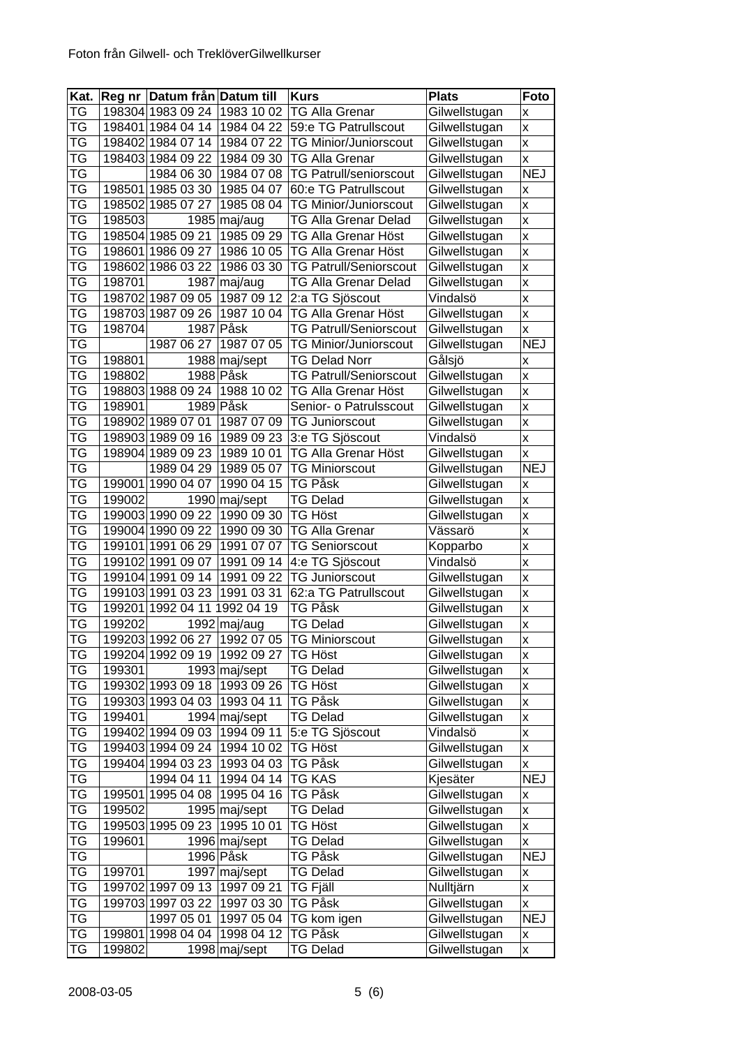| TG<br>198304 1983 09 24<br>1983 10 02<br><b>TG Alla Grenar</b><br>Gilwellstugan<br>X<br>ТG<br>1984 04 22 59:e TG Patrullscout<br>198401 1984 04 14<br>Gilwellstugan<br>$\pmb{\mathsf{X}}$<br><b>TG Minior/Juniorscout</b><br>Gilwellstugan<br>$\mathsf{x}$<br>TG<br>198402 1984 07 14<br>1984 07 22<br>TG<br><b>TG Alla Grenar</b><br>Gilwellstugan<br>198403 1984 09 22<br>1984 09 30<br>$\mathsf{x}$<br><b>NEJ</b><br>ТG<br>1984 06 30<br>1984 07 08<br><b>TG Patrull/seniorscout</b><br>Gilwellstugan<br>ТG<br>198501 1985 03 30<br>1985 04 07<br>Gilwellstugan<br>60:e TG Patrullscout<br>X<br>TG<br>198502 1985 07 27<br>1985 08 04<br><b>TG Minior/Juniorscout</b><br>Gilwellstugan<br>X<br>TG<br>$1985$ maj/aug<br>Gilwellstugan<br>$\mathsf{x}$<br>198503<br><b>TG Alla Grenar Delad</b><br>ТG<br>198504 1985 09 21<br>1985 09 29<br>$\mathsf{x}$<br>TG Alla Grenar Höst<br>Gilwellstugan<br>ТG<br>198601 1986 09 27<br>1986 10 05<br>Gilwellstugan<br>TG Alla Grenar Höst<br>$\mathsf{x}$<br>ТG<br>1986 03 30<br><b>TG Patrull/Seniorscout</b><br>198602 1986 03 22<br>Gilwellstugan<br>$\mathsf{x}$<br>ТG<br>maj/aug<br>198701<br>1987<br><b>TG Alla Grenar Delad</b><br>Gilwellstugan<br>$\mathsf{x}$<br>ТG<br>198702 1987 09 05<br>1987 09 12<br>2:a TG Sjöscout<br>Vindalsö<br>X<br>ТG<br>$\mathsf{x}$<br>198703 1987 09 26<br>1987 10 04<br>TG Alla Grenar Höst<br>Gilwellstugan<br>ТG<br>Påsk<br>198704<br>1987<br><b>TG Patrull/Seniorscout</b><br>Gilwellstugan<br>X<br><b>NEJ</b><br>TG<br>1987 06 27<br>Gilwellstugan<br>1987 07 05<br><b>TG Minior/Juniorscout</b><br>ТG<br>198801<br>1988 maj/sept<br><b>TG Delad Norr</b><br>Gålsjö<br>$\pmb{\mathsf{X}}$<br>ТG<br>1988 Påsk<br>198802<br><b>TG Patrull/Seniorscout</b><br>Gilwellstugan<br>$\mathsf{x}$<br>ТG<br>198803 1988 09 24<br>1988 10 02<br>Gilwellstugan<br>$\mathsf{x}$<br>TG Alla Grenar Höst<br>ТG<br>198901<br>1989 Påsk<br>Gilwellstugan<br>$\mathsf{x}$<br>Senior- o Patrulsscout<br>TG<br>198902 1989 07 01<br>1987 07 09<br><b>TG Juniorscout</b><br>Gilwellstugan<br>$\pmb{\mathsf{X}}$<br>ТG<br>$\mathsf{x}$<br>198903 1989 09 16<br>3:e TG Sjöscout<br>Vindalsö<br>1989 09 23<br>ТG<br>198904 1989 09 23<br>1989 10 01<br>TG Alla Grenar Höst<br>Gilwellstugan<br>$\pmb{\mathsf{X}}$<br>ТG<br><b>NEJ</b><br>1989 05 07<br>1989 04 29<br><b>TG Miniorscout</b><br>Gilwellstugan<br>ТG<br>199001 1990 04 07<br>1990 04 15<br>Gilwellstugan<br>TG Påsk<br>$\pmb{\mathsf{x}}$<br>ТG<br>1990 maj/sept<br><b>TG Delad</b><br>Gilwellstugan<br>199002<br>X<br>TG<br>199003 1990 09 22<br>1990 09 30<br>TG Höst<br>Gilwellstugan<br>$\mathsf{x}$<br>TG<br>199004 1990 09 22<br>1990 09 30<br><b>TG Alla Grenar</b><br>Vässarö<br>$\mathsf{x}$<br>TG<br>1991 07 07<br>199101 1991 06 29<br><b>TG Seniorscout</b><br>Kopparbo<br>X<br>TG<br>199102 1991 09 07<br>1991 09 14<br>4:e TG Sjöscout<br>Vindalsö<br>$\mathsf{x}$<br>199104 1991 09 14<br>ТG<br>1991 09 22<br><b>TG Juniorscout</b><br>Gilwellstugan<br>$\mathsf{x}$<br>TG<br>199103 1991 03 23<br>1991 03 31<br>62:a TG Patrullscout<br>Gilwellstugan<br>X<br>TG<br>199201 1992 04 11 1992 04 19<br>TG Påsk<br>Gilwellstugan<br>$\pmb{\mathsf{X}}$<br>$\mathsf{x}$<br>ТG<br>1992 maj/aug<br><b>TG Delad</b><br>Gilwellstugan<br>199202<br><b>TG</b><br>199203 1992 06 27 1992 07 05<br><b>TG Miniorscout</b><br>Gilwellstugan<br>$\overline{\mathsf{x}}$<br>ТG<br>199204 1992 09 19 1992 09 27<br>TG Höst<br>Gilwellstugan<br>X<br>ТG<br>Gilwellstugan<br>1993 maj/sept<br><b>TG Delad</b><br>199301<br>X<br>TG<br>199302 1993 09 18<br>1993 09 26<br>TG Höst<br>Gilwellstugan<br>$\pmb{\mathsf{X}}$<br>Gilwellstugan<br>ТG<br>1993 04 11<br><b>TG Påsk</b><br>199303 1993 04 03<br>$\pmb{\mathsf{X}}$<br>TG<br>199401<br>1994 maj/sept<br><b>TG Delad</b><br>Gilwellstugan<br>$\pmb{\mathsf{x}}$<br>TG<br>199402 1994 09 03<br>1994 09 11<br>Vindalsö<br>5:e TG Sjöscout<br>$\pmb{\mathsf{x}}$<br>ТG<br>199403 1994 09 24<br>1994 10 02<br>TG Höst<br>Gilwellstugan<br>$\pmb{\mathsf{X}}$<br>ТG<br>199404 1994 03 23<br>1993 04 03<br>TG Påsk<br>Gilwellstugan<br>$\pmb{\mathsf{x}}$<br>$T\overline{G}$<br><b>TG KAS</b><br>Kjesäter<br><b>NEJ</b><br>1994 04 11<br>1994 04 14<br>1995 04 16<br>Gilwellstugan<br>ТG<br>199501 1995 04 08<br>TG Påsk<br>Χ<br>TG<br>1995 maj/sept<br><b>TG Delad</b><br>Gilwellstugan<br>199502<br>X<br>TG<br>199503 1995 09 23<br>1995 10 01<br>TG Höst<br>Gilwellstugan<br>$\pmb{\mathsf{x}}$<br>ТG<br>199601<br>1996 maj/sept<br>Gilwellstugan<br>TG Delad<br>X<br>ТG<br><b>NEJ</b><br>Gilwellstugan<br>1996 Påsk<br>TG Påsk<br>ТG<br>199701<br>1997 maj/sept<br>TG Delad<br>Gilwellstugan<br>X<br>ТG<br>199702 1997 09 13<br><b>TG Fjäll</b><br>Nulltjärn<br>1997 09 21<br>$\pmb{\mathsf{x}}$<br>ТG<br>199703 1997 03 22<br>1997 03 30<br>TG Påsk<br>Gilwellstugan<br>$\pmb{\mathsf{X}}$<br>TG<br><b>NEJ</b><br>1997 05 01<br>1997 05 04<br>Gilwellstugan<br>TG kom igen<br>TG<br>199801 1998 04 04<br>1998 04 12<br>TG Påsk<br>Gilwellstugan<br>Χ<br>1998 maj/sept | Kat. |        | Reg nr Datum från Datum till | <b>Kurs</b>     | <b>Plats</b>  | Foto               |
|---------------------------------------------------------------------------------------------------------------------------------------------------------------------------------------------------------------------------------------------------------------------------------------------------------------------------------------------------------------------------------------------------------------------------------------------------------------------------------------------------------------------------------------------------------------------------------------------------------------------------------------------------------------------------------------------------------------------------------------------------------------------------------------------------------------------------------------------------------------------------------------------------------------------------------------------------------------------------------------------------------------------------------------------------------------------------------------------------------------------------------------------------------------------------------------------------------------------------------------------------------------------------------------------------------------------------------------------------------------------------------------------------------------------------------------------------------------------------------------------------------------------------------------------------------------------------------------------------------------------------------------------------------------------------------------------------------------------------------------------------------------------------------------------------------------------------------------------------------------------------------------------------------------------------------------------------------------------------------------------------------------------------------------------------------------------------------------------------------------------------------------------------------------------------------------------------------------------------------------------------------------------------------------------------------------------------------------------------------------------------------------------------------------------------------------------------------------------------------------------------------------------------------------------------------------------------------------------------------------------------------------------------------------------------------------------------------------------------------------------------------------------------------------------------------------------------------------------------------------------------------------------------------------------------------------------------------------------------------------------------------------------------------------------------------------------------------------------------------------------------------------------------------------------------------------------------------------------------------------------------------------------------------------------------------------------------------------------------------------------------------------------------------------------------------------------------------------------------------------------------------------------------------------------------------------------------------------------------------------------------------------------------------------------------------------------------------------------------------------------------------------------------------------------------------------------------------------------------------------------------------------------------------------------------------------------------------------------------------------------------------------------------------------------------------------------------------------------------------------------------------------------------------------------------------------------------------------------------------------------------------------------------------------------------------------------------------------------------------------------------------------------------------------------------------------------------------------------------------------------------------------------------------------------------------------------------------------------------------------------------------------------------------------------------------------------------------------------------------------------------------------------------------------------------------------------------------------------------------------------------------------------------------------------------------------------------------------------------------------------------------------------------------------------------|------|--------|------------------------------|-----------------|---------------|--------------------|
|                                                                                                                                                                                                                                                                                                                                                                                                                                                                                                                                                                                                                                                                                                                                                                                                                                                                                                                                                                                                                                                                                                                                                                                                                                                                                                                                                                                                                                                                                                                                                                                                                                                                                                                                                                                                                                                                                                                                                                                                                                                                                                                                                                                                                                                                                                                                                                                                                                                                                                                                                                                                                                                                                                                                                                                                                                                                                                                                                                                                                                                                                                                                                                                                                                                                                                                                                                                                                                                                                                                                                                                                                                                                                                                                                                                                                                                                                                                                                                                                                                                                                                                                                                                                                                                                                                                                                                                                                                                                                                                                                                                                                                                                                                                                                                                                                                                                                                                                                                                                                                                   |      |        |                              |                 |               |                    |
|                                                                                                                                                                                                                                                                                                                                                                                                                                                                                                                                                                                                                                                                                                                                                                                                                                                                                                                                                                                                                                                                                                                                                                                                                                                                                                                                                                                                                                                                                                                                                                                                                                                                                                                                                                                                                                                                                                                                                                                                                                                                                                                                                                                                                                                                                                                                                                                                                                                                                                                                                                                                                                                                                                                                                                                                                                                                                                                                                                                                                                                                                                                                                                                                                                                                                                                                                                                                                                                                                                                                                                                                                                                                                                                                                                                                                                                                                                                                                                                                                                                                                                                                                                                                                                                                                                                                                                                                                                                                                                                                                                                                                                                                                                                                                                                                                                                                                                                                                                                                                                                   |      |        |                              |                 |               |                    |
|                                                                                                                                                                                                                                                                                                                                                                                                                                                                                                                                                                                                                                                                                                                                                                                                                                                                                                                                                                                                                                                                                                                                                                                                                                                                                                                                                                                                                                                                                                                                                                                                                                                                                                                                                                                                                                                                                                                                                                                                                                                                                                                                                                                                                                                                                                                                                                                                                                                                                                                                                                                                                                                                                                                                                                                                                                                                                                                                                                                                                                                                                                                                                                                                                                                                                                                                                                                                                                                                                                                                                                                                                                                                                                                                                                                                                                                                                                                                                                                                                                                                                                                                                                                                                                                                                                                                                                                                                                                                                                                                                                                                                                                                                                                                                                                                                                                                                                                                                                                                                                                   |      |        |                              |                 |               |                    |
|                                                                                                                                                                                                                                                                                                                                                                                                                                                                                                                                                                                                                                                                                                                                                                                                                                                                                                                                                                                                                                                                                                                                                                                                                                                                                                                                                                                                                                                                                                                                                                                                                                                                                                                                                                                                                                                                                                                                                                                                                                                                                                                                                                                                                                                                                                                                                                                                                                                                                                                                                                                                                                                                                                                                                                                                                                                                                                                                                                                                                                                                                                                                                                                                                                                                                                                                                                                                                                                                                                                                                                                                                                                                                                                                                                                                                                                                                                                                                                                                                                                                                                                                                                                                                                                                                                                                                                                                                                                                                                                                                                                                                                                                                                                                                                                                                                                                                                                                                                                                                                                   |      |        |                              |                 |               |                    |
|                                                                                                                                                                                                                                                                                                                                                                                                                                                                                                                                                                                                                                                                                                                                                                                                                                                                                                                                                                                                                                                                                                                                                                                                                                                                                                                                                                                                                                                                                                                                                                                                                                                                                                                                                                                                                                                                                                                                                                                                                                                                                                                                                                                                                                                                                                                                                                                                                                                                                                                                                                                                                                                                                                                                                                                                                                                                                                                                                                                                                                                                                                                                                                                                                                                                                                                                                                                                                                                                                                                                                                                                                                                                                                                                                                                                                                                                                                                                                                                                                                                                                                                                                                                                                                                                                                                                                                                                                                                                                                                                                                                                                                                                                                                                                                                                                                                                                                                                                                                                                                                   |      |        |                              |                 |               |                    |
|                                                                                                                                                                                                                                                                                                                                                                                                                                                                                                                                                                                                                                                                                                                                                                                                                                                                                                                                                                                                                                                                                                                                                                                                                                                                                                                                                                                                                                                                                                                                                                                                                                                                                                                                                                                                                                                                                                                                                                                                                                                                                                                                                                                                                                                                                                                                                                                                                                                                                                                                                                                                                                                                                                                                                                                                                                                                                                                                                                                                                                                                                                                                                                                                                                                                                                                                                                                                                                                                                                                                                                                                                                                                                                                                                                                                                                                                                                                                                                                                                                                                                                                                                                                                                                                                                                                                                                                                                                                                                                                                                                                                                                                                                                                                                                                                                                                                                                                                                                                                                                                   |      |        |                              |                 |               |                    |
|                                                                                                                                                                                                                                                                                                                                                                                                                                                                                                                                                                                                                                                                                                                                                                                                                                                                                                                                                                                                                                                                                                                                                                                                                                                                                                                                                                                                                                                                                                                                                                                                                                                                                                                                                                                                                                                                                                                                                                                                                                                                                                                                                                                                                                                                                                                                                                                                                                                                                                                                                                                                                                                                                                                                                                                                                                                                                                                                                                                                                                                                                                                                                                                                                                                                                                                                                                                                                                                                                                                                                                                                                                                                                                                                                                                                                                                                                                                                                                                                                                                                                                                                                                                                                                                                                                                                                                                                                                                                                                                                                                                                                                                                                                                                                                                                                                                                                                                                                                                                                                                   |      |        |                              |                 |               |                    |
|                                                                                                                                                                                                                                                                                                                                                                                                                                                                                                                                                                                                                                                                                                                                                                                                                                                                                                                                                                                                                                                                                                                                                                                                                                                                                                                                                                                                                                                                                                                                                                                                                                                                                                                                                                                                                                                                                                                                                                                                                                                                                                                                                                                                                                                                                                                                                                                                                                                                                                                                                                                                                                                                                                                                                                                                                                                                                                                                                                                                                                                                                                                                                                                                                                                                                                                                                                                                                                                                                                                                                                                                                                                                                                                                                                                                                                                                                                                                                                                                                                                                                                                                                                                                                                                                                                                                                                                                                                                                                                                                                                                                                                                                                                                                                                                                                                                                                                                                                                                                                                                   |      |        |                              |                 |               |                    |
|                                                                                                                                                                                                                                                                                                                                                                                                                                                                                                                                                                                                                                                                                                                                                                                                                                                                                                                                                                                                                                                                                                                                                                                                                                                                                                                                                                                                                                                                                                                                                                                                                                                                                                                                                                                                                                                                                                                                                                                                                                                                                                                                                                                                                                                                                                                                                                                                                                                                                                                                                                                                                                                                                                                                                                                                                                                                                                                                                                                                                                                                                                                                                                                                                                                                                                                                                                                                                                                                                                                                                                                                                                                                                                                                                                                                                                                                                                                                                                                                                                                                                                                                                                                                                                                                                                                                                                                                                                                                                                                                                                                                                                                                                                                                                                                                                                                                                                                                                                                                                                                   |      |        |                              |                 |               |                    |
|                                                                                                                                                                                                                                                                                                                                                                                                                                                                                                                                                                                                                                                                                                                                                                                                                                                                                                                                                                                                                                                                                                                                                                                                                                                                                                                                                                                                                                                                                                                                                                                                                                                                                                                                                                                                                                                                                                                                                                                                                                                                                                                                                                                                                                                                                                                                                                                                                                                                                                                                                                                                                                                                                                                                                                                                                                                                                                                                                                                                                                                                                                                                                                                                                                                                                                                                                                                                                                                                                                                                                                                                                                                                                                                                                                                                                                                                                                                                                                                                                                                                                                                                                                                                                                                                                                                                                                                                                                                                                                                                                                                                                                                                                                                                                                                                                                                                                                                                                                                                                                                   |      |        |                              |                 |               |                    |
|                                                                                                                                                                                                                                                                                                                                                                                                                                                                                                                                                                                                                                                                                                                                                                                                                                                                                                                                                                                                                                                                                                                                                                                                                                                                                                                                                                                                                                                                                                                                                                                                                                                                                                                                                                                                                                                                                                                                                                                                                                                                                                                                                                                                                                                                                                                                                                                                                                                                                                                                                                                                                                                                                                                                                                                                                                                                                                                                                                                                                                                                                                                                                                                                                                                                                                                                                                                                                                                                                                                                                                                                                                                                                                                                                                                                                                                                                                                                                                                                                                                                                                                                                                                                                                                                                                                                                                                                                                                                                                                                                                                                                                                                                                                                                                                                                                                                                                                                                                                                                                                   |      |        |                              |                 |               |                    |
|                                                                                                                                                                                                                                                                                                                                                                                                                                                                                                                                                                                                                                                                                                                                                                                                                                                                                                                                                                                                                                                                                                                                                                                                                                                                                                                                                                                                                                                                                                                                                                                                                                                                                                                                                                                                                                                                                                                                                                                                                                                                                                                                                                                                                                                                                                                                                                                                                                                                                                                                                                                                                                                                                                                                                                                                                                                                                                                                                                                                                                                                                                                                                                                                                                                                                                                                                                                                                                                                                                                                                                                                                                                                                                                                                                                                                                                                                                                                                                                                                                                                                                                                                                                                                                                                                                                                                                                                                                                                                                                                                                                                                                                                                                                                                                                                                                                                                                                                                                                                                                                   |      |        |                              |                 |               |                    |
|                                                                                                                                                                                                                                                                                                                                                                                                                                                                                                                                                                                                                                                                                                                                                                                                                                                                                                                                                                                                                                                                                                                                                                                                                                                                                                                                                                                                                                                                                                                                                                                                                                                                                                                                                                                                                                                                                                                                                                                                                                                                                                                                                                                                                                                                                                                                                                                                                                                                                                                                                                                                                                                                                                                                                                                                                                                                                                                                                                                                                                                                                                                                                                                                                                                                                                                                                                                                                                                                                                                                                                                                                                                                                                                                                                                                                                                                                                                                                                                                                                                                                                                                                                                                                                                                                                                                                                                                                                                                                                                                                                                                                                                                                                                                                                                                                                                                                                                                                                                                                                                   |      |        |                              |                 |               |                    |
|                                                                                                                                                                                                                                                                                                                                                                                                                                                                                                                                                                                                                                                                                                                                                                                                                                                                                                                                                                                                                                                                                                                                                                                                                                                                                                                                                                                                                                                                                                                                                                                                                                                                                                                                                                                                                                                                                                                                                                                                                                                                                                                                                                                                                                                                                                                                                                                                                                                                                                                                                                                                                                                                                                                                                                                                                                                                                                                                                                                                                                                                                                                                                                                                                                                                                                                                                                                                                                                                                                                                                                                                                                                                                                                                                                                                                                                                                                                                                                                                                                                                                                                                                                                                                                                                                                                                                                                                                                                                                                                                                                                                                                                                                                                                                                                                                                                                                                                                                                                                                                                   |      |        |                              |                 |               |                    |
|                                                                                                                                                                                                                                                                                                                                                                                                                                                                                                                                                                                                                                                                                                                                                                                                                                                                                                                                                                                                                                                                                                                                                                                                                                                                                                                                                                                                                                                                                                                                                                                                                                                                                                                                                                                                                                                                                                                                                                                                                                                                                                                                                                                                                                                                                                                                                                                                                                                                                                                                                                                                                                                                                                                                                                                                                                                                                                                                                                                                                                                                                                                                                                                                                                                                                                                                                                                                                                                                                                                                                                                                                                                                                                                                                                                                                                                                                                                                                                                                                                                                                                                                                                                                                                                                                                                                                                                                                                                                                                                                                                                                                                                                                                                                                                                                                                                                                                                                                                                                                                                   |      |        |                              |                 |               |                    |
|                                                                                                                                                                                                                                                                                                                                                                                                                                                                                                                                                                                                                                                                                                                                                                                                                                                                                                                                                                                                                                                                                                                                                                                                                                                                                                                                                                                                                                                                                                                                                                                                                                                                                                                                                                                                                                                                                                                                                                                                                                                                                                                                                                                                                                                                                                                                                                                                                                                                                                                                                                                                                                                                                                                                                                                                                                                                                                                                                                                                                                                                                                                                                                                                                                                                                                                                                                                                                                                                                                                                                                                                                                                                                                                                                                                                                                                                                                                                                                                                                                                                                                                                                                                                                                                                                                                                                                                                                                                                                                                                                                                                                                                                                                                                                                                                                                                                                                                                                                                                                                                   |      |        |                              |                 |               |                    |
|                                                                                                                                                                                                                                                                                                                                                                                                                                                                                                                                                                                                                                                                                                                                                                                                                                                                                                                                                                                                                                                                                                                                                                                                                                                                                                                                                                                                                                                                                                                                                                                                                                                                                                                                                                                                                                                                                                                                                                                                                                                                                                                                                                                                                                                                                                                                                                                                                                                                                                                                                                                                                                                                                                                                                                                                                                                                                                                                                                                                                                                                                                                                                                                                                                                                                                                                                                                                                                                                                                                                                                                                                                                                                                                                                                                                                                                                                                                                                                                                                                                                                                                                                                                                                                                                                                                                                                                                                                                                                                                                                                                                                                                                                                                                                                                                                                                                                                                                                                                                                                                   |      |        |                              |                 |               |                    |
|                                                                                                                                                                                                                                                                                                                                                                                                                                                                                                                                                                                                                                                                                                                                                                                                                                                                                                                                                                                                                                                                                                                                                                                                                                                                                                                                                                                                                                                                                                                                                                                                                                                                                                                                                                                                                                                                                                                                                                                                                                                                                                                                                                                                                                                                                                                                                                                                                                                                                                                                                                                                                                                                                                                                                                                                                                                                                                                                                                                                                                                                                                                                                                                                                                                                                                                                                                                                                                                                                                                                                                                                                                                                                                                                                                                                                                                                                                                                                                                                                                                                                                                                                                                                                                                                                                                                                                                                                                                                                                                                                                                                                                                                                                                                                                                                                                                                                                                                                                                                                                                   |      |        |                              |                 |               |                    |
|                                                                                                                                                                                                                                                                                                                                                                                                                                                                                                                                                                                                                                                                                                                                                                                                                                                                                                                                                                                                                                                                                                                                                                                                                                                                                                                                                                                                                                                                                                                                                                                                                                                                                                                                                                                                                                                                                                                                                                                                                                                                                                                                                                                                                                                                                                                                                                                                                                                                                                                                                                                                                                                                                                                                                                                                                                                                                                                                                                                                                                                                                                                                                                                                                                                                                                                                                                                                                                                                                                                                                                                                                                                                                                                                                                                                                                                                                                                                                                                                                                                                                                                                                                                                                                                                                                                                                                                                                                                                                                                                                                                                                                                                                                                                                                                                                                                                                                                                                                                                                                                   |      |        |                              |                 |               |                    |
|                                                                                                                                                                                                                                                                                                                                                                                                                                                                                                                                                                                                                                                                                                                                                                                                                                                                                                                                                                                                                                                                                                                                                                                                                                                                                                                                                                                                                                                                                                                                                                                                                                                                                                                                                                                                                                                                                                                                                                                                                                                                                                                                                                                                                                                                                                                                                                                                                                                                                                                                                                                                                                                                                                                                                                                                                                                                                                                                                                                                                                                                                                                                                                                                                                                                                                                                                                                                                                                                                                                                                                                                                                                                                                                                                                                                                                                                                                                                                                                                                                                                                                                                                                                                                                                                                                                                                                                                                                                                                                                                                                                                                                                                                                                                                                                                                                                                                                                                                                                                                                                   |      |        |                              |                 |               |                    |
|                                                                                                                                                                                                                                                                                                                                                                                                                                                                                                                                                                                                                                                                                                                                                                                                                                                                                                                                                                                                                                                                                                                                                                                                                                                                                                                                                                                                                                                                                                                                                                                                                                                                                                                                                                                                                                                                                                                                                                                                                                                                                                                                                                                                                                                                                                                                                                                                                                                                                                                                                                                                                                                                                                                                                                                                                                                                                                                                                                                                                                                                                                                                                                                                                                                                                                                                                                                                                                                                                                                                                                                                                                                                                                                                                                                                                                                                                                                                                                                                                                                                                                                                                                                                                                                                                                                                                                                                                                                                                                                                                                                                                                                                                                                                                                                                                                                                                                                                                                                                                                                   |      |        |                              |                 |               |                    |
|                                                                                                                                                                                                                                                                                                                                                                                                                                                                                                                                                                                                                                                                                                                                                                                                                                                                                                                                                                                                                                                                                                                                                                                                                                                                                                                                                                                                                                                                                                                                                                                                                                                                                                                                                                                                                                                                                                                                                                                                                                                                                                                                                                                                                                                                                                                                                                                                                                                                                                                                                                                                                                                                                                                                                                                                                                                                                                                                                                                                                                                                                                                                                                                                                                                                                                                                                                                                                                                                                                                                                                                                                                                                                                                                                                                                                                                                                                                                                                                                                                                                                                                                                                                                                                                                                                                                                                                                                                                                                                                                                                                                                                                                                                                                                                                                                                                                                                                                                                                                                                                   |      |        |                              |                 |               |                    |
|                                                                                                                                                                                                                                                                                                                                                                                                                                                                                                                                                                                                                                                                                                                                                                                                                                                                                                                                                                                                                                                                                                                                                                                                                                                                                                                                                                                                                                                                                                                                                                                                                                                                                                                                                                                                                                                                                                                                                                                                                                                                                                                                                                                                                                                                                                                                                                                                                                                                                                                                                                                                                                                                                                                                                                                                                                                                                                                                                                                                                                                                                                                                                                                                                                                                                                                                                                                                                                                                                                                                                                                                                                                                                                                                                                                                                                                                                                                                                                                                                                                                                                                                                                                                                                                                                                                                                                                                                                                                                                                                                                                                                                                                                                                                                                                                                                                                                                                                                                                                                                                   |      |        |                              |                 |               |                    |
|                                                                                                                                                                                                                                                                                                                                                                                                                                                                                                                                                                                                                                                                                                                                                                                                                                                                                                                                                                                                                                                                                                                                                                                                                                                                                                                                                                                                                                                                                                                                                                                                                                                                                                                                                                                                                                                                                                                                                                                                                                                                                                                                                                                                                                                                                                                                                                                                                                                                                                                                                                                                                                                                                                                                                                                                                                                                                                                                                                                                                                                                                                                                                                                                                                                                                                                                                                                                                                                                                                                                                                                                                                                                                                                                                                                                                                                                                                                                                                                                                                                                                                                                                                                                                                                                                                                                                                                                                                                                                                                                                                                                                                                                                                                                                                                                                                                                                                                                                                                                                                                   |      |        |                              |                 |               |                    |
|                                                                                                                                                                                                                                                                                                                                                                                                                                                                                                                                                                                                                                                                                                                                                                                                                                                                                                                                                                                                                                                                                                                                                                                                                                                                                                                                                                                                                                                                                                                                                                                                                                                                                                                                                                                                                                                                                                                                                                                                                                                                                                                                                                                                                                                                                                                                                                                                                                                                                                                                                                                                                                                                                                                                                                                                                                                                                                                                                                                                                                                                                                                                                                                                                                                                                                                                                                                                                                                                                                                                                                                                                                                                                                                                                                                                                                                                                                                                                                                                                                                                                                                                                                                                                                                                                                                                                                                                                                                                                                                                                                                                                                                                                                                                                                                                                                                                                                                                                                                                                                                   |      |        |                              |                 |               |                    |
|                                                                                                                                                                                                                                                                                                                                                                                                                                                                                                                                                                                                                                                                                                                                                                                                                                                                                                                                                                                                                                                                                                                                                                                                                                                                                                                                                                                                                                                                                                                                                                                                                                                                                                                                                                                                                                                                                                                                                                                                                                                                                                                                                                                                                                                                                                                                                                                                                                                                                                                                                                                                                                                                                                                                                                                                                                                                                                                                                                                                                                                                                                                                                                                                                                                                                                                                                                                                                                                                                                                                                                                                                                                                                                                                                                                                                                                                                                                                                                                                                                                                                                                                                                                                                                                                                                                                                                                                                                                                                                                                                                                                                                                                                                                                                                                                                                                                                                                                                                                                                                                   |      |        |                              |                 |               |                    |
|                                                                                                                                                                                                                                                                                                                                                                                                                                                                                                                                                                                                                                                                                                                                                                                                                                                                                                                                                                                                                                                                                                                                                                                                                                                                                                                                                                                                                                                                                                                                                                                                                                                                                                                                                                                                                                                                                                                                                                                                                                                                                                                                                                                                                                                                                                                                                                                                                                                                                                                                                                                                                                                                                                                                                                                                                                                                                                                                                                                                                                                                                                                                                                                                                                                                                                                                                                                                                                                                                                                                                                                                                                                                                                                                                                                                                                                                                                                                                                                                                                                                                                                                                                                                                                                                                                                                                                                                                                                                                                                                                                                                                                                                                                                                                                                                                                                                                                                                                                                                                                                   |      |        |                              |                 |               |                    |
|                                                                                                                                                                                                                                                                                                                                                                                                                                                                                                                                                                                                                                                                                                                                                                                                                                                                                                                                                                                                                                                                                                                                                                                                                                                                                                                                                                                                                                                                                                                                                                                                                                                                                                                                                                                                                                                                                                                                                                                                                                                                                                                                                                                                                                                                                                                                                                                                                                                                                                                                                                                                                                                                                                                                                                                                                                                                                                                                                                                                                                                                                                                                                                                                                                                                                                                                                                                                                                                                                                                                                                                                                                                                                                                                                                                                                                                                                                                                                                                                                                                                                                                                                                                                                                                                                                                                                                                                                                                                                                                                                                                                                                                                                                                                                                                                                                                                                                                                                                                                                                                   |      |        |                              |                 |               |                    |
|                                                                                                                                                                                                                                                                                                                                                                                                                                                                                                                                                                                                                                                                                                                                                                                                                                                                                                                                                                                                                                                                                                                                                                                                                                                                                                                                                                                                                                                                                                                                                                                                                                                                                                                                                                                                                                                                                                                                                                                                                                                                                                                                                                                                                                                                                                                                                                                                                                                                                                                                                                                                                                                                                                                                                                                                                                                                                                                                                                                                                                                                                                                                                                                                                                                                                                                                                                                                                                                                                                                                                                                                                                                                                                                                                                                                                                                                                                                                                                                                                                                                                                                                                                                                                                                                                                                                                                                                                                                                                                                                                                                                                                                                                                                                                                                                                                                                                                                                                                                                                                                   |      |        |                              |                 |               |                    |
|                                                                                                                                                                                                                                                                                                                                                                                                                                                                                                                                                                                                                                                                                                                                                                                                                                                                                                                                                                                                                                                                                                                                                                                                                                                                                                                                                                                                                                                                                                                                                                                                                                                                                                                                                                                                                                                                                                                                                                                                                                                                                                                                                                                                                                                                                                                                                                                                                                                                                                                                                                                                                                                                                                                                                                                                                                                                                                                                                                                                                                                                                                                                                                                                                                                                                                                                                                                                                                                                                                                                                                                                                                                                                                                                                                                                                                                                                                                                                                                                                                                                                                                                                                                                                                                                                                                                                                                                                                                                                                                                                                                                                                                                                                                                                                                                                                                                                                                                                                                                                                                   |      |        |                              |                 |               |                    |
|                                                                                                                                                                                                                                                                                                                                                                                                                                                                                                                                                                                                                                                                                                                                                                                                                                                                                                                                                                                                                                                                                                                                                                                                                                                                                                                                                                                                                                                                                                                                                                                                                                                                                                                                                                                                                                                                                                                                                                                                                                                                                                                                                                                                                                                                                                                                                                                                                                                                                                                                                                                                                                                                                                                                                                                                                                                                                                                                                                                                                                                                                                                                                                                                                                                                                                                                                                                                                                                                                                                                                                                                                                                                                                                                                                                                                                                                                                                                                                                                                                                                                                                                                                                                                                                                                                                                                                                                                                                                                                                                                                                                                                                                                                                                                                                                                                                                                                                                                                                                                                                   |      |        |                              |                 |               |                    |
|                                                                                                                                                                                                                                                                                                                                                                                                                                                                                                                                                                                                                                                                                                                                                                                                                                                                                                                                                                                                                                                                                                                                                                                                                                                                                                                                                                                                                                                                                                                                                                                                                                                                                                                                                                                                                                                                                                                                                                                                                                                                                                                                                                                                                                                                                                                                                                                                                                                                                                                                                                                                                                                                                                                                                                                                                                                                                                                                                                                                                                                                                                                                                                                                                                                                                                                                                                                                                                                                                                                                                                                                                                                                                                                                                                                                                                                                                                                                                                                                                                                                                                                                                                                                                                                                                                                                                                                                                                                                                                                                                                                                                                                                                                                                                                                                                                                                                                                                                                                                                                                   |      |        |                              |                 |               |                    |
|                                                                                                                                                                                                                                                                                                                                                                                                                                                                                                                                                                                                                                                                                                                                                                                                                                                                                                                                                                                                                                                                                                                                                                                                                                                                                                                                                                                                                                                                                                                                                                                                                                                                                                                                                                                                                                                                                                                                                                                                                                                                                                                                                                                                                                                                                                                                                                                                                                                                                                                                                                                                                                                                                                                                                                                                                                                                                                                                                                                                                                                                                                                                                                                                                                                                                                                                                                                                                                                                                                                                                                                                                                                                                                                                                                                                                                                                                                                                                                                                                                                                                                                                                                                                                                                                                                                                                                                                                                                                                                                                                                                                                                                                                                                                                                                                                                                                                                                                                                                                                                                   |      |        |                              |                 |               |                    |
|                                                                                                                                                                                                                                                                                                                                                                                                                                                                                                                                                                                                                                                                                                                                                                                                                                                                                                                                                                                                                                                                                                                                                                                                                                                                                                                                                                                                                                                                                                                                                                                                                                                                                                                                                                                                                                                                                                                                                                                                                                                                                                                                                                                                                                                                                                                                                                                                                                                                                                                                                                                                                                                                                                                                                                                                                                                                                                                                                                                                                                                                                                                                                                                                                                                                                                                                                                                                                                                                                                                                                                                                                                                                                                                                                                                                                                                                                                                                                                                                                                                                                                                                                                                                                                                                                                                                                                                                                                                                                                                                                                                                                                                                                                                                                                                                                                                                                                                                                                                                                                                   |      |        |                              |                 |               |                    |
|                                                                                                                                                                                                                                                                                                                                                                                                                                                                                                                                                                                                                                                                                                                                                                                                                                                                                                                                                                                                                                                                                                                                                                                                                                                                                                                                                                                                                                                                                                                                                                                                                                                                                                                                                                                                                                                                                                                                                                                                                                                                                                                                                                                                                                                                                                                                                                                                                                                                                                                                                                                                                                                                                                                                                                                                                                                                                                                                                                                                                                                                                                                                                                                                                                                                                                                                                                                                                                                                                                                                                                                                                                                                                                                                                                                                                                                                                                                                                                                                                                                                                                                                                                                                                                                                                                                                                                                                                                                                                                                                                                                                                                                                                                                                                                                                                                                                                                                                                                                                                                                   |      |        |                              |                 |               |                    |
|                                                                                                                                                                                                                                                                                                                                                                                                                                                                                                                                                                                                                                                                                                                                                                                                                                                                                                                                                                                                                                                                                                                                                                                                                                                                                                                                                                                                                                                                                                                                                                                                                                                                                                                                                                                                                                                                                                                                                                                                                                                                                                                                                                                                                                                                                                                                                                                                                                                                                                                                                                                                                                                                                                                                                                                                                                                                                                                                                                                                                                                                                                                                                                                                                                                                                                                                                                                                                                                                                                                                                                                                                                                                                                                                                                                                                                                                                                                                                                                                                                                                                                                                                                                                                                                                                                                                                                                                                                                                                                                                                                                                                                                                                                                                                                                                                                                                                                                                                                                                                                                   |      |        |                              |                 |               |                    |
|                                                                                                                                                                                                                                                                                                                                                                                                                                                                                                                                                                                                                                                                                                                                                                                                                                                                                                                                                                                                                                                                                                                                                                                                                                                                                                                                                                                                                                                                                                                                                                                                                                                                                                                                                                                                                                                                                                                                                                                                                                                                                                                                                                                                                                                                                                                                                                                                                                                                                                                                                                                                                                                                                                                                                                                                                                                                                                                                                                                                                                                                                                                                                                                                                                                                                                                                                                                                                                                                                                                                                                                                                                                                                                                                                                                                                                                                                                                                                                                                                                                                                                                                                                                                                                                                                                                                                                                                                                                                                                                                                                                                                                                                                                                                                                                                                                                                                                                                                                                                                                                   |      |        |                              |                 |               |                    |
|                                                                                                                                                                                                                                                                                                                                                                                                                                                                                                                                                                                                                                                                                                                                                                                                                                                                                                                                                                                                                                                                                                                                                                                                                                                                                                                                                                                                                                                                                                                                                                                                                                                                                                                                                                                                                                                                                                                                                                                                                                                                                                                                                                                                                                                                                                                                                                                                                                                                                                                                                                                                                                                                                                                                                                                                                                                                                                                                                                                                                                                                                                                                                                                                                                                                                                                                                                                                                                                                                                                                                                                                                                                                                                                                                                                                                                                                                                                                                                                                                                                                                                                                                                                                                                                                                                                                                                                                                                                                                                                                                                                                                                                                                                                                                                                                                                                                                                                                                                                                                                                   |      |        |                              |                 |               |                    |
|                                                                                                                                                                                                                                                                                                                                                                                                                                                                                                                                                                                                                                                                                                                                                                                                                                                                                                                                                                                                                                                                                                                                                                                                                                                                                                                                                                                                                                                                                                                                                                                                                                                                                                                                                                                                                                                                                                                                                                                                                                                                                                                                                                                                                                                                                                                                                                                                                                                                                                                                                                                                                                                                                                                                                                                                                                                                                                                                                                                                                                                                                                                                                                                                                                                                                                                                                                                                                                                                                                                                                                                                                                                                                                                                                                                                                                                                                                                                                                                                                                                                                                                                                                                                                                                                                                                                                                                                                                                                                                                                                                                                                                                                                                                                                                                                                                                                                                                                                                                                                                                   |      |        |                              |                 |               |                    |
|                                                                                                                                                                                                                                                                                                                                                                                                                                                                                                                                                                                                                                                                                                                                                                                                                                                                                                                                                                                                                                                                                                                                                                                                                                                                                                                                                                                                                                                                                                                                                                                                                                                                                                                                                                                                                                                                                                                                                                                                                                                                                                                                                                                                                                                                                                                                                                                                                                                                                                                                                                                                                                                                                                                                                                                                                                                                                                                                                                                                                                                                                                                                                                                                                                                                                                                                                                                                                                                                                                                                                                                                                                                                                                                                                                                                                                                                                                                                                                                                                                                                                                                                                                                                                                                                                                                                                                                                                                                                                                                                                                                                                                                                                                                                                                                                                                                                                                                                                                                                                                                   |      |        |                              |                 |               |                    |
|                                                                                                                                                                                                                                                                                                                                                                                                                                                                                                                                                                                                                                                                                                                                                                                                                                                                                                                                                                                                                                                                                                                                                                                                                                                                                                                                                                                                                                                                                                                                                                                                                                                                                                                                                                                                                                                                                                                                                                                                                                                                                                                                                                                                                                                                                                                                                                                                                                                                                                                                                                                                                                                                                                                                                                                                                                                                                                                                                                                                                                                                                                                                                                                                                                                                                                                                                                                                                                                                                                                                                                                                                                                                                                                                                                                                                                                                                                                                                                                                                                                                                                                                                                                                                                                                                                                                                                                                                                                                                                                                                                                                                                                                                                                                                                                                                                                                                                                                                                                                                                                   |      |        |                              |                 |               |                    |
|                                                                                                                                                                                                                                                                                                                                                                                                                                                                                                                                                                                                                                                                                                                                                                                                                                                                                                                                                                                                                                                                                                                                                                                                                                                                                                                                                                                                                                                                                                                                                                                                                                                                                                                                                                                                                                                                                                                                                                                                                                                                                                                                                                                                                                                                                                                                                                                                                                                                                                                                                                                                                                                                                                                                                                                                                                                                                                                                                                                                                                                                                                                                                                                                                                                                                                                                                                                                                                                                                                                                                                                                                                                                                                                                                                                                                                                                                                                                                                                                                                                                                                                                                                                                                                                                                                                                                                                                                                                                                                                                                                                                                                                                                                                                                                                                                                                                                                                                                                                                                                                   |      |        |                              |                 |               |                    |
|                                                                                                                                                                                                                                                                                                                                                                                                                                                                                                                                                                                                                                                                                                                                                                                                                                                                                                                                                                                                                                                                                                                                                                                                                                                                                                                                                                                                                                                                                                                                                                                                                                                                                                                                                                                                                                                                                                                                                                                                                                                                                                                                                                                                                                                                                                                                                                                                                                                                                                                                                                                                                                                                                                                                                                                                                                                                                                                                                                                                                                                                                                                                                                                                                                                                                                                                                                                                                                                                                                                                                                                                                                                                                                                                                                                                                                                                                                                                                                                                                                                                                                                                                                                                                                                                                                                                                                                                                                                                                                                                                                                                                                                                                                                                                                                                                                                                                                                                                                                                                                                   |      |        |                              |                 |               |                    |
|                                                                                                                                                                                                                                                                                                                                                                                                                                                                                                                                                                                                                                                                                                                                                                                                                                                                                                                                                                                                                                                                                                                                                                                                                                                                                                                                                                                                                                                                                                                                                                                                                                                                                                                                                                                                                                                                                                                                                                                                                                                                                                                                                                                                                                                                                                                                                                                                                                                                                                                                                                                                                                                                                                                                                                                                                                                                                                                                                                                                                                                                                                                                                                                                                                                                                                                                                                                                                                                                                                                                                                                                                                                                                                                                                                                                                                                                                                                                                                                                                                                                                                                                                                                                                                                                                                                                                                                                                                                                                                                                                                                                                                                                                                                                                                                                                                                                                                                                                                                                                                                   |      |        |                              |                 |               |                    |
|                                                                                                                                                                                                                                                                                                                                                                                                                                                                                                                                                                                                                                                                                                                                                                                                                                                                                                                                                                                                                                                                                                                                                                                                                                                                                                                                                                                                                                                                                                                                                                                                                                                                                                                                                                                                                                                                                                                                                                                                                                                                                                                                                                                                                                                                                                                                                                                                                                                                                                                                                                                                                                                                                                                                                                                                                                                                                                                                                                                                                                                                                                                                                                                                                                                                                                                                                                                                                                                                                                                                                                                                                                                                                                                                                                                                                                                                                                                                                                                                                                                                                                                                                                                                                                                                                                                                                                                                                                                                                                                                                                                                                                                                                                                                                                                                                                                                                                                                                                                                                                                   |      |        |                              |                 |               |                    |
|                                                                                                                                                                                                                                                                                                                                                                                                                                                                                                                                                                                                                                                                                                                                                                                                                                                                                                                                                                                                                                                                                                                                                                                                                                                                                                                                                                                                                                                                                                                                                                                                                                                                                                                                                                                                                                                                                                                                                                                                                                                                                                                                                                                                                                                                                                                                                                                                                                                                                                                                                                                                                                                                                                                                                                                                                                                                                                                                                                                                                                                                                                                                                                                                                                                                                                                                                                                                                                                                                                                                                                                                                                                                                                                                                                                                                                                                                                                                                                                                                                                                                                                                                                                                                                                                                                                                                                                                                                                                                                                                                                                                                                                                                                                                                                                                                                                                                                                                                                                                                                                   |      |        |                              |                 |               |                    |
|                                                                                                                                                                                                                                                                                                                                                                                                                                                                                                                                                                                                                                                                                                                                                                                                                                                                                                                                                                                                                                                                                                                                                                                                                                                                                                                                                                                                                                                                                                                                                                                                                                                                                                                                                                                                                                                                                                                                                                                                                                                                                                                                                                                                                                                                                                                                                                                                                                                                                                                                                                                                                                                                                                                                                                                                                                                                                                                                                                                                                                                                                                                                                                                                                                                                                                                                                                                                                                                                                                                                                                                                                                                                                                                                                                                                                                                                                                                                                                                                                                                                                                                                                                                                                                                                                                                                                                                                                                                                                                                                                                                                                                                                                                                                                                                                                                                                                                                                                                                                                                                   |      |        |                              |                 |               |                    |
|                                                                                                                                                                                                                                                                                                                                                                                                                                                                                                                                                                                                                                                                                                                                                                                                                                                                                                                                                                                                                                                                                                                                                                                                                                                                                                                                                                                                                                                                                                                                                                                                                                                                                                                                                                                                                                                                                                                                                                                                                                                                                                                                                                                                                                                                                                                                                                                                                                                                                                                                                                                                                                                                                                                                                                                                                                                                                                                                                                                                                                                                                                                                                                                                                                                                                                                                                                                                                                                                                                                                                                                                                                                                                                                                                                                                                                                                                                                                                                                                                                                                                                                                                                                                                                                                                                                                                                                                                                                                                                                                                                                                                                                                                                                                                                                                                                                                                                                                                                                                                                                   |      |        |                              |                 |               |                    |
|                                                                                                                                                                                                                                                                                                                                                                                                                                                                                                                                                                                                                                                                                                                                                                                                                                                                                                                                                                                                                                                                                                                                                                                                                                                                                                                                                                                                                                                                                                                                                                                                                                                                                                                                                                                                                                                                                                                                                                                                                                                                                                                                                                                                                                                                                                                                                                                                                                                                                                                                                                                                                                                                                                                                                                                                                                                                                                                                                                                                                                                                                                                                                                                                                                                                                                                                                                                                                                                                                                                                                                                                                                                                                                                                                                                                                                                                                                                                                                                                                                                                                                                                                                                                                                                                                                                                                                                                                                                                                                                                                                                                                                                                                                                                                                                                                                                                                                                                                                                                                                                   |      |        |                              |                 |               |                    |
|                                                                                                                                                                                                                                                                                                                                                                                                                                                                                                                                                                                                                                                                                                                                                                                                                                                                                                                                                                                                                                                                                                                                                                                                                                                                                                                                                                                                                                                                                                                                                                                                                                                                                                                                                                                                                                                                                                                                                                                                                                                                                                                                                                                                                                                                                                                                                                                                                                                                                                                                                                                                                                                                                                                                                                                                                                                                                                                                                                                                                                                                                                                                                                                                                                                                                                                                                                                                                                                                                                                                                                                                                                                                                                                                                                                                                                                                                                                                                                                                                                                                                                                                                                                                                                                                                                                                                                                                                                                                                                                                                                                                                                                                                                                                                                                                                                                                                                                                                                                                                                                   |      |        |                              |                 |               |                    |
|                                                                                                                                                                                                                                                                                                                                                                                                                                                                                                                                                                                                                                                                                                                                                                                                                                                                                                                                                                                                                                                                                                                                                                                                                                                                                                                                                                                                                                                                                                                                                                                                                                                                                                                                                                                                                                                                                                                                                                                                                                                                                                                                                                                                                                                                                                                                                                                                                                                                                                                                                                                                                                                                                                                                                                                                                                                                                                                                                                                                                                                                                                                                                                                                                                                                                                                                                                                                                                                                                                                                                                                                                                                                                                                                                                                                                                                                                                                                                                                                                                                                                                                                                                                                                                                                                                                                                                                                                                                                                                                                                                                                                                                                                                                                                                                                                                                                                                                                                                                                                                                   |      |        |                              |                 |               |                    |
|                                                                                                                                                                                                                                                                                                                                                                                                                                                                                                                                                                                                                                                                                                                                                                                                                                                                                                                                                                                                                                                                                                                                                                                                                                                                                                                                                                                                                                                                                                                                                                                                                                                                                                                                                                                                                                                                                                                                                                                                                                                                                                                                                                                                                                                                                                                                                                                                                                                                                                                                                                                                                                                                                                                                                                                                                                                                                                                                                                                                                                                                                                                                                                                                                                                                                                                                                                                                                                                                                                                                                                                                                                                                                                                                                                                                                                                                                                                                                                                                                                                                                                                                                                                                                                                                                                                                                                                                                                                                                                                                                                                                                                                                                                                                                                                                                                                                                                                                                                                                                                                   |      |        |                              |                 |               |                    |
|                                                                                                                                                                                                                                                                                                                                                                                                                                                                                                                                                                                                                                                                                                                                                                                                                                                                                                                                                                                                                                                                                                                                                                                                                                                                                                                                                                                                                                                                                                                                                                                                                                                                                                                                                                                                                                                                                                                                                                                                                                                                                                                                                                                                                                                                                                                                                                                                                                                                                                                                                                                                                                                                                                                                                                                                                                                                                                                                                                                                                                                                                                                                                                                                                                                                                                                                                                                                                                                                                                                                                                                                                                                                                                                                                                                                                                                                                                                                                                                                                                                                                                                                                                                                                                                                                                                                                                                                                                                                                                                                                                                                                                                                                                                                                                                                                                                                                                                                                                                                                                                   |      |        |                              |                 |               |                    |
|                                                                                                                                                                                                                                                                                                                                                                                                                                                                                                                                                                                                                                                                                                                                                                                                                                                                                                                                                                                                                                                                                                                                                                                                                                                                                                                                                                                                                                                                                                                                                                                                                                                                                                                                                                                                                                                                                                                                                                                                                                                                                                                                                                                                                                                                                                                                                                                                                                                                                                                                                                                                                                                                                                                                                                                                                                                                                                                                                                                                                                                                                                                                                                                                                                                                                                                                                                                                                                                                                                                                                                                                                                                                                                                                                                                                                                                                                                                                                                                                                                                                                                                                                                                                                                                                                                                                                                                                                                                                                                                                                                                                                                                                                                                                                                                                                                                                                                                                                                                                                                                   |      |        |                              |                 |               |                    |
|                                                                                                                                                                                                                                                                                                                                                                                                                                                                                                                                                                                                                                                                                                                                                                                                                                                                                                                                                                                                                                                                                                                                                                                                                                                                                                                                                                                                                                                                                                                                                                                                                                                                                                                                                                                                                                                                                                                                                                                                                                                                                                                                                                                                                                                                                                                                                                                                                                                                                                                                                                                                                                                                                                                                                                                                                                                                                                                                                                                                                                                                                                                                                                                                                                                                                                                                                                                                                                                                                                                                                                                                                                                                                                                                                                                                                                                                                                                                                                                                                                                                                                                                                                                                                                                                                                                                                                                                                                                                                                                                                                                                                                                                                                                                                                                                                                                                                                                                                                                                                                                   | TG   | 199802 |                              | <b>TG Delad</b> | Gilwellstugan | $\pmb{\mathsf{x}}$ |